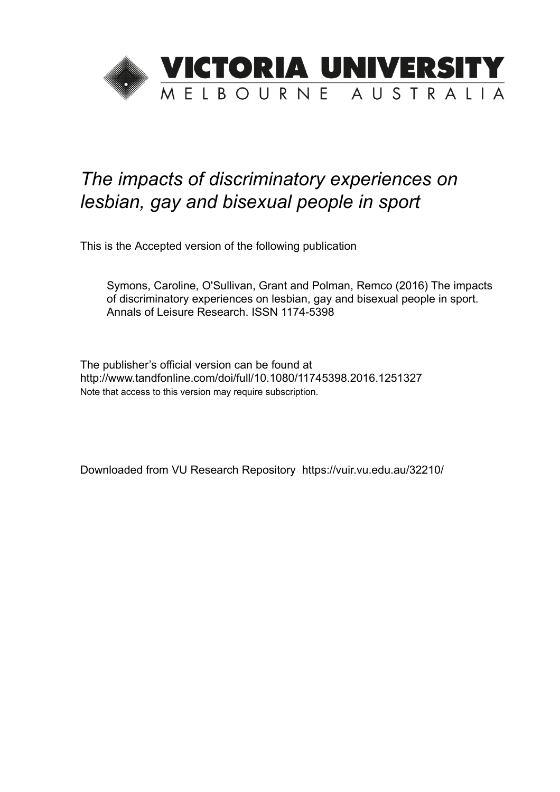

# *The impacts of discriminatory experiences on lesbian, gay and bisexual people in sport*

This is the Accepted version of the following publication

Symons, Caroline, O'Sullivan, Grant and Polman, Remco (2016) The impacts of discriminatory experiences on lesbian, gay and bisexual people in sport. Annals of Leisure Research. ISSN 1174-5398

The publisher's official version can be found at http://www.tandfonline.com/doi/full/10.1080/11745398.2016.1251327 Note that access to this version may require subscription.

Downloaded from VU Research Repository https://vuir.vu.edu.au/32210/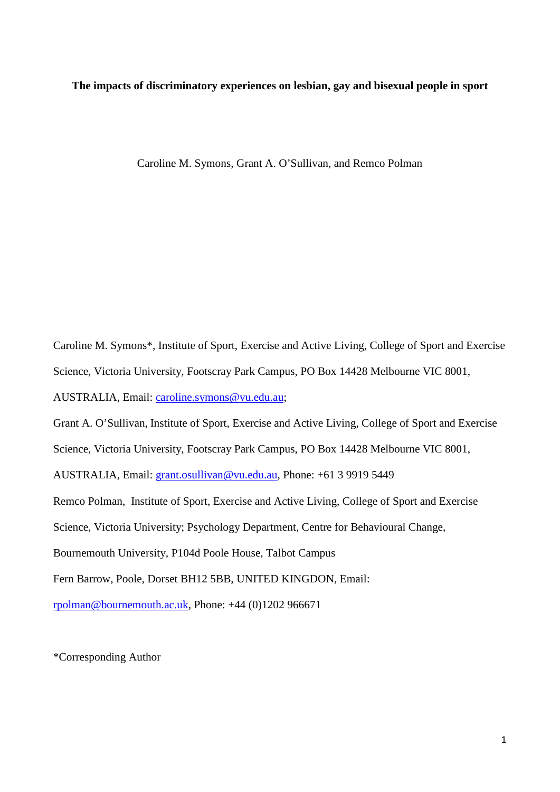**The impacts of discriminatory experiences on lesbian, gay and bisexual people in sport**

Caroline M. Symons, Grant A. O'Sullivan, and Remco Polman

Caroline M. Symons\*, Institute of Sport, Exercise and Active Living, College of Sport and Exercise Science, Victoria University, Footscray Park Campus, PO Box 14428 Melbourne VIC 8001, AUSTRALIA, Email: [caroline.symons@vu.edu.au;](mailto:caroline.symons@vu.edu.au) Grant A. O'Sullivan, Institute of Sport, Exercise and Active Living, College of Sport and Exercise Science, Victoria University, Footscray Park Campus, PO Box 14428 Melbourne VIC 8001, AUSTRALIA, Email: [grant.osullivan@vu.edu.au,](mailto:grant.osullivan@vu.edu.au) Phone: +61 3 9919 5449 Remco Polman, Institute of Sport, Exercise and Active Living, College of Sport and Exercise Science, Victoria University; Psychology Department, Centre for Behavioural Change, Bournemouth University, P104d Poole House, Talbot Campus Fern Barrow, Poole, Dorset BH12 5BB, UNITED KINGDON, Email: [rpolman@bournemouth.ac.uk,](mailto:rpolman@bournemouth.ac.uk) Phone: +44 (0)1202 966671

\*Corresponding Author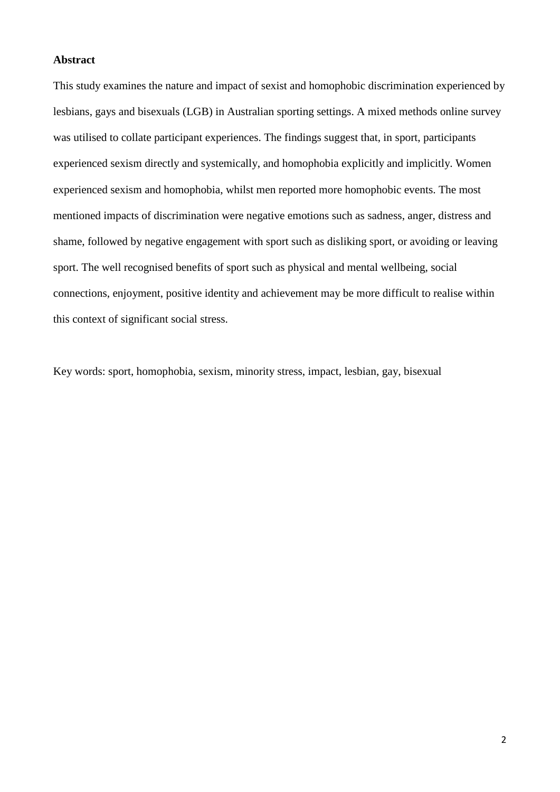## **Abstract**

This study examines the nature and impact of sexist and homophobic discrimination experienced by lesbians, gays and bisexuals (LGB) in Australian sporting settings. A mixed methods online survey was utilised to collate participant experiences. The findings suggest that, in sport, participants experienced sexism directly and systemically, and homophobia explicitly and implicitly. Women experienced sexism and homophobia, whilst men reported more homophobic events. The most mentioned impacts of discrimination were negative emotions such as sadness, anger, distress and shame, followed by negative engagement with sport such as disliking sport, or avoiding or leaving sport. The well recognised benefits of sport such as physical and mental wellbeing, social connections, enjoyment, positive identity and achievement may be more difficult to realise within this context of significant social stress.

Key words: sport, homophobia, sexism, minority stress, impact, lesbian, gay, bisexual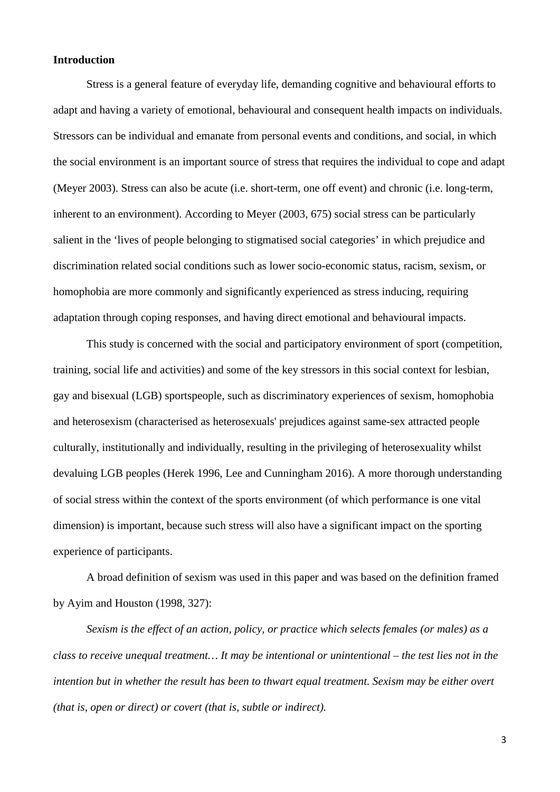# **Introduction**

Stress is a general feature of everyday life, demanding cognitive and behavioural efforts to adapt and having a variety of emotional, behavioural and consequent health impacts on individuals. Stressors can be individual and emanate from personal events and conditions, and social, in which the social environment is an important source of stress that requires the individual to cope and adapt [\(Meyer 2003\)](#page-35-0). Stress can also be acute (i.e. short-term, one off event) and chronic (i.e. long-term, inherent to an environment). According to [Meyer \(2003, 675\)](#page-35-0) social stress can be particularly salient in the 'lives of people belonging to stigmatised social categories' in which prejudice and discrimination related social conditions such as lower socio-economic status, racism, sexism, or homophobia are more commonly and significantly experienced as stress inducing, requiring adaptation through coping responses, and having direct emotional and behavioural impacts.

This study is concerned with the social and participatory environment of sport (competition, training, social life and activities) and some of the key stressors in this social context for lesbian, gay and bisexual (LGB) sportspeople, such as discriminatory experiences of sexism, homophobia and heterosexism (characterised as heterosexuals' prejudices against same-sex attracted people culturally, institutionally and individually, resulting in the privileging of heterosexuality whilst devaluing LGB peoples [\(Herek 1996,](#page-33-0) [Lee and Cunningham 2016\)](#page-34-0). A more thorough understanding of social stress within the context of the sports environment (of which performance is one vital dimension) is important, because such stress will also have a significant impact on the sporting experience of participants.

A broad definition of sexism was used in this paper and was based on the definition framed by Ayim and Houston [\(1998, 327\)](#page-31-0):

*Sexism is the effect of an action, policy, or practice which selects females (or males) as a class to receive unequal treatment… It may be intentional or unintentional – the test lies not in the intention but in whether the result has been to thwart equal treatment. Sexism may be either overt (that is, open or direct) or covert (that is, subtle or indirect).*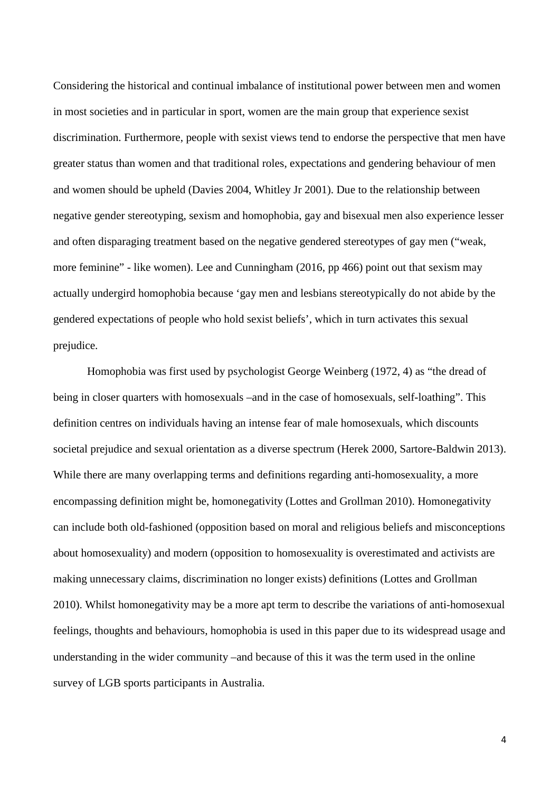Considering the historical and continual imbalance of institutional power between men and women in most societies and in particular in sport, women are the main group that experience sexist discrimination. Furthermore, people with sexist views tend to endorse the perspective that men have greater status than women and that traditional roles, expectations and gendering behaviour of men and women should be upheld [\(Davies 2004,](#page-32-0) [Whitley Jr 2001\)](#page-37-0). Due to the relationship between negative gender stereotyping, sexism and homophobia, gay and bisexual men also experience lesser and often disparaging treatment based on the negative gendered stereotypes of gay men ("weak, more feminine" - like women). Lee and Cunningham [\(2016, pp 466\)](#page-34-0) point out that sexism may actually undergird homophobia because 'gay men and lesbians stereotypically do not abide by the gendered expectations of people who hold sexist beliefs', which in turn activates this sexual prejudice.

Homophobia was first used by psychologist George Weinberg [\(1972, 4\)](#page-37-1) as "the dread of being in closer quarters with homosexuals –and in the case of homosexuals, self-loathing". This definition centres on individuals having an intense fear of male homosexuals, which discounts societal prejudice and sexual orientation as a diverse spectrum [\(Herek 2000,](#page-34-1) [Sartore-Baldwin 2013\)](#page-36-0). While there are many overlapping terms and definitions regarding anti-homosexuality, a more encompassing definition might be, homonegativity [\(Lottes and Grollman 2010\)](#page-34-2). Homonegativity can include both old-fashioned (opposition based on moral and religious beliefs and misconceptions about homosexuality) and modern (opposition to homosexuality is overestimated and activists are making unnecessary claims, discrimination no longer exists) definitions [\(Lottes and Grollman](#page-34-2)  [2010\)](#page-34-2). Whilst homonegativity may be a more apt term to describe the variations of anti-homosexual feelings, thoughts and behaviours, homophobia is used in this paper due to its widespread usage and understanding in the wider community –and because of this it was the term used in the online survey of LGB sports participants in Australia.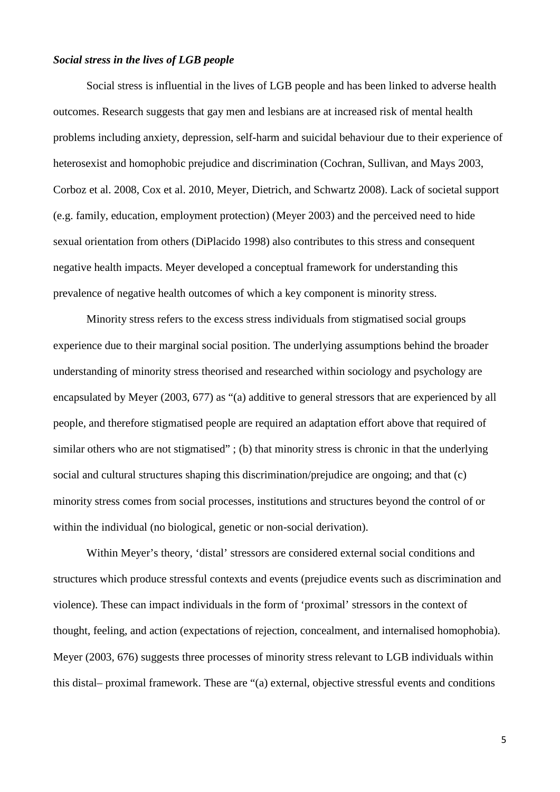# *Social stress in the lives of LGB people*

Social stress is influential in the lives of LGB people and has been linked to adverse health outcomes. Research suggests that gay men and lesbians are at increased risk of mental health problems including anxiety, depression, self-harm and suicidal behaviour due to their experience of heterosexist and homophobic prejudice and discrimination [\(Cochran, Sullivan, and Mays 2003,](#page-32-1) [Corboz et al. 2008,](#page-32-2) [Cox et al. 2010,](#page-32-3) [Meyer, Dietrich, and Schwartz 2008\)](#page-35-1). Lack of societal support (e.g. family, education, employment protection) [\(Meyer 2003\)](#page-35-0) and the perceived need to hide sexual orientation from others [\(DiPlacido 1998\)](#page-33-1) also contributes to this stress and consequent negative health impacts. Meyer developed a conceptual framework for understanding this prevalence of negative health outcomes of which a key component is minority stress.

Minority stress refers to the excess stress individuals from stigmatised social groups experience due to their marginal social position. The underlying assumptions behind the broader understanding of minority stress theorised and researched within sociology and psychology are encapsulated by [Meyer \(2003, 677\)](#page-35-0) as "(a) additive to general stressors that are experienced by all people, and therefore stigmatised people are required an adaptation effort above that required of similar others who are not stigmatised"; (b) that minority stress is chronic in that the underlying social and cultural structures shaping this discrimination/prejudice are ongoing; and that (c) minority stress comes from social processes, institutions and structures beyond the control of or within the individual (no biological, genetic or non-social derivation).

Within Meyer's theory, 'distal' stressors are considered external social conditions and structures which produce stressful contexts and events (prejudice events such as discrimination and violence). These can impact individuals in the form of 'proximal' stressors in the context of thought, feeling, and action (expectations of rejection, concealment, and internalised homophobia). [Meyer \(2003, 676\)](#page-35-0) suggests three processes of minority stress relevant to LGB individuals within this distal– proximal framework. These are "(a) external, objective stressful events and conditions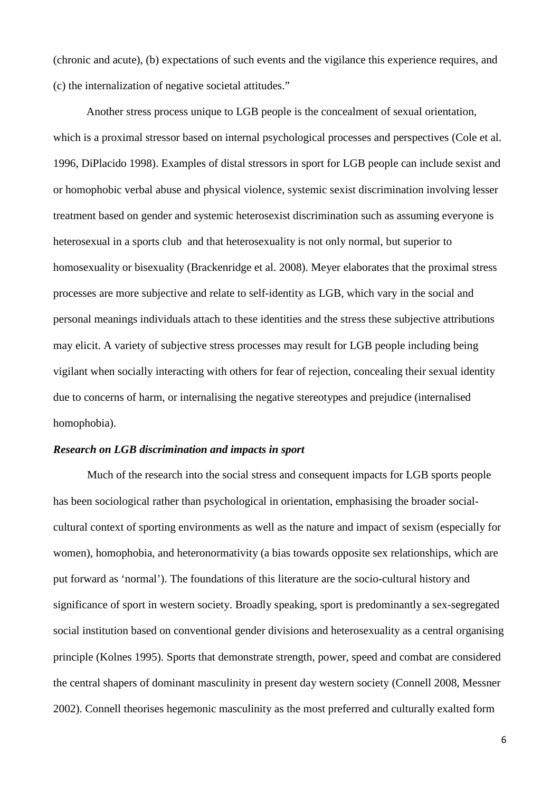(chronic and acute), (b) expectations of such events and the vigilance this experience requires, and (c) the internalization of negative societal attitudes."

Another stress process unique to LGB people is the concealment of sexual orientation, which is a proximal stressor based on internal psychological processes and perspectives [\(Cole et al.](#page-32-4)  [1996,](#page-32-4) [DiPlacido 1998\)](#page-33-1). Examples of distal stressors in sport for LGB people can include sexist and or homophobic verbal abuse and physical violence, systemic sexist discrimination involving lesser treatment based on gender and systemic heterosexist discrimination such as assuming everyone is heterosexual in a sports club and that heterosexuality is not only normal, but superior to homosexuality or bisexuality [\(Brackenridge et al. 2008\)](#page-31-1). Meyer elaborates that the proximal stress processes are more subjective and relate to self-identity as LGB, which vary in the social and personal meanings individuals attach to these identities and the stress these subjective attributions may elicit. A variety of subjective stress processes may result for LGB people including being vigilant when socially interacting with others for fear of rejection, concealing their sexual identity due to concerns of harm, or internalising the negative stereotypes and prejudice (internalised homophobia).

## *Research on LGB discrimination and impacts in sport*

Much of the research into the social stress and consequent impacts for LGB sports people has been sociological rather than psychological in orientation, emphasising the broader socialcultural context of sporting environments as well as the nature and impact of sexism (especially for women), homophobia, and heteronormativity (a bias towards opposite sex relationships, which are put forward as 'normal'). The foundations of this literature are the socio-cultural history and significance of sport in western society. Broadly speaking, sport is predominantly a sex-segregated social institution based on conventional gender divisions and heterosexuality as a central organising principle [\(Kolnes 1995\)](#page-34-3). Sports that demonstrate strength, power, speed and combat are considered the central shapers of dominant masculinity in present day western society [\(Connell 2008,](#page-32-5) [Messner](#page-35-2)  [2002\)](#page-35-2). Connell theorises hegemonic masculinity as the most preferred and culturally exalted form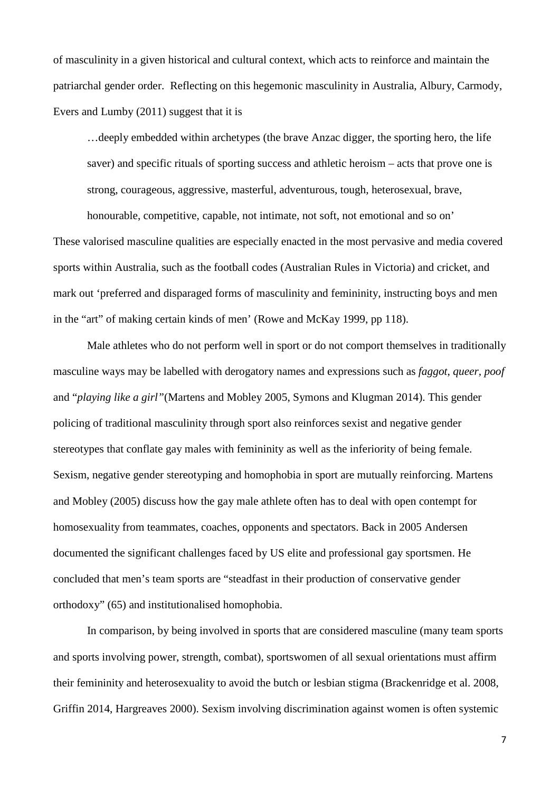of masculinity in a given historical and cultural context, which acts to reinforce and maintain the patriarchal gender order. Reflecting on this hegemonic masculinity in Australia, Albury, Carmody, Evers and Lumby [\(2011\)](#page-31-2) suggest that it is

…deeply embedded within archetypes (the brave Anzac digger, the sporting hero, the life saver) and specific rituals of sporting success and athletic heroism – acts that prove one is strong, courageous, aggressive, masterful, adventurous, tough, heterosexual, brave,

honourable, competitive, capable, not intimate, not soft, not emotional and so on' These valorised masculine qualities are especially enacted in the most pervasive and media covered sports within Australia, such as the football codes (Australian Rules in Victoria) and cricket, and mark out 'preferred and disparaged forms of masculinity and femininity, instructing boys and men in the "art" of making certain kinds of men' [\(Rowe and McKay 1999, pp 118\)](#page-36-1).

Male athletes who do not perform well in sport or do not comport themselves in traditionally masculine ways may be labelled with derogatory names and expressions such as *faggot*, *queer, poof* and "*playing like a girl"*[\(Martens and Mobley 2005,](#page-34-4) [Symons and Klugman 2014\)](#page-36-2). This gender policing of traditional masculinity through sport also reinforces sexist and negative gender stereotypes that conflate gay males with femininity as well as the inferiority of being female. Sexism, negative gender stereotyping and homophobia in sport are mutually reinforcing. [Martens](#page-34-4)  and Mobley (2005) discuss how the gay male athlete often has to deal with open contempt for homosexuality from teammates, coaches, opponents and spectators. Back in 2005 Andersen documented the significant challenges faced by US elite and professional gay sportsmen. He concluded that men's team sports are "steadfast in their production of conservative gender orthodoxy" (65) and institutionalised homophobia.

In comparison, by being involved in sports that are considered masculine (many team sports and sports involving power, strength, combat), sportswomen of all sexual orientations must affirm their femininity and heterosexuality to avoid the butch or lesbian stigma [\(Brackenridge et al. 2008,](#page-31-1) [Griffin 2014,](#page-33-2) [Hargreaves 2000\)](#page-33-3). Sexism involving discrimination against women is often systemic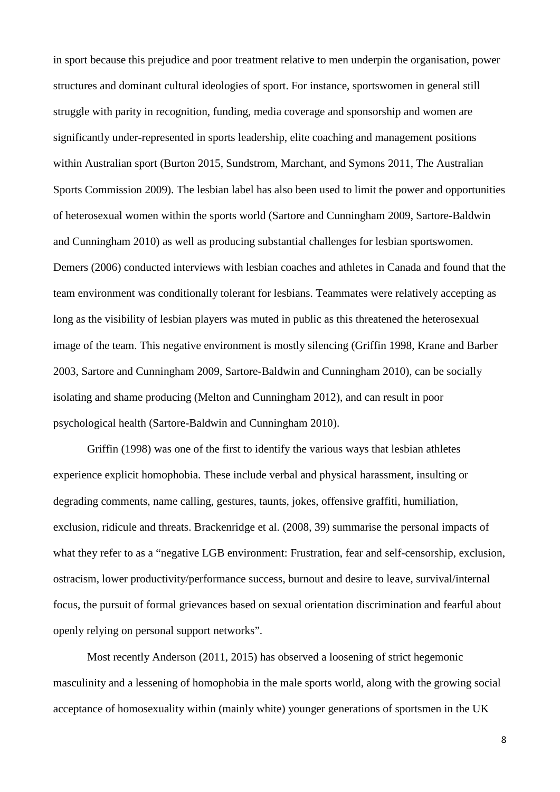in sport because this prejudice and poor treatment relative to men underpin the organisation, power structures and dominant cultural ideologies of sport. For instance, sportswomen in general still struggle with parity in recognition, funding, media coverage and sponsorship and women are significantly under-represented in sports leadership, elite coaching and management positions within Australian sport [\(Burton 2015,](#page-32-6) [Sundstrom, Marchant, and Symons 2011,](#page-36-3) [The Australian](#page-37-2)  [Sports Commission 2009\)](#page-37-2). The lesbian label has also been used to limit the power and opportunities of heterosexual women within the sports world [\(Sartore and Cunningham 2009,](#page-36-4) [Sartore-Baldwin](#page-36-5)  [and Cunningham 2010\)](#page-36-5) as well as producing substantial challenges for lesbian sportswomen. [Demers \(2006\)](#page-32-7) conducted interviews with lesbian coaches and athletes in Canada and found that the team environment was conditionally tolerant for lesbians. Teammates were relatively accepting as long as the visibility of lesbian players was muted in public as this threatened the heterosexual image of the team. This negative environment is mostly silencing [\(Griffin 1998,](#page-33-4) [Krane and Barber](#page-34-5)  [2003,](#page-34-5) [Sartore and Cunningham 2009,](#page-36-4) [Sartore-Baldwin and Cunningham 2010\)](#page-36-5), can be socially isolating and shame producing [\(Melton and Cunningham 2012\)](#page-35-3), and can result in poor psychological health [\(Sartore-Baldwin and Cunningham 2010\)](#page-36-5).

[Griffin \(1998\)](#page-33-4) was one of the first to identify the various ways that lesbian athletes experience explicit homophobia. These include verbal and physical harassment, insulting or degrading comments, name calling, gestures, taunts, jokes, offensive graffiti, humiliation, exclusion, ridicule and threats. [Brackenridge et al. \(2008, 39\)](#page-31-1) summarise the personal impacts of what they refer to as a "negative LGB environment: Frustration, fear and self-censorship, exclusion, ostracism, lower productivity/performance success, burnout and desire to leave, survival/internal focus, the pursuit of formal grievances based on sexual orientation discrimination and fearful about openly relying on personal support networks".

Most recently Anderson [\(2011,](#page-31-3) [2015\)](#page-31-4) has observed a loosening of strict hegemonic masculinity and a lessening of homophobia in the male sports world, along with the growing social acceptance of homosexuality within (mainly white) younger generations of sportsmen in the UK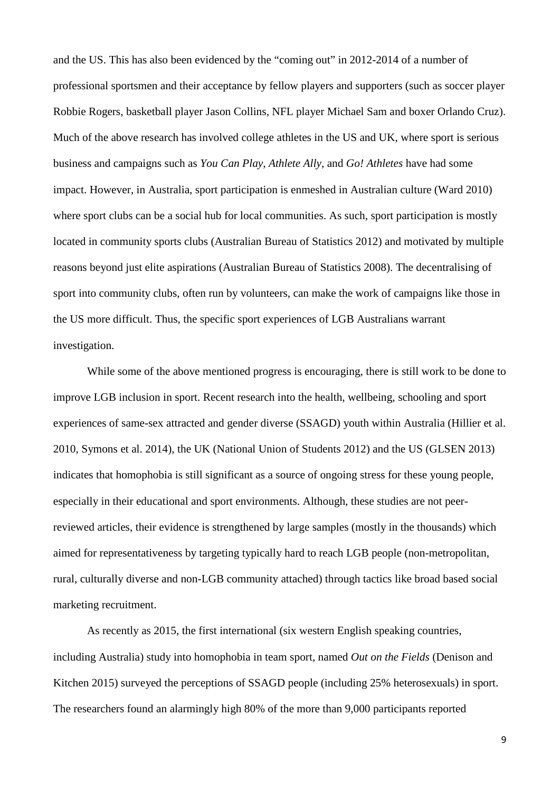and the US. This has also been evidenced by the "coming out" in 2012-2014 of a number of professional sportsmen and their acceptance by fellow players and supporters (such as soccer player Robbie Rogers, basketball player Jason Collins, NFL player Michael Sam and boxer Orlando Cruz). Much of the above research has involved college athletes in the US and UK, where sport is serious business and campaigns such as *You Can Play*, *Athlete Ally*, and *Go! Athletes* have had some impact. However, in Australia, sport participation is enmeshed in Australian culture [\(Ward 2010\)](#page-37-3) where sport clubs can be a social hub for local communities. As such, sport participation is mostly located in community sports clubs [\(Australian Bureau of Statistics 2012\)](#page-31-5) and motivated by multiple reasons beyond just elite aspirations [\(Australian Bureau of Statistics 2008\)](#page-31-6). The decentralising of sport into community clubs, often run by volunteers, can make the work of campaigns like those in the US more difficult. Thus, the specific sport experiences of LGB Australians warrant investigation.

While some of the above mentioned progress is encouraging, there is still work to be done to improve LGB inclusion in sport. Recent research into the health, wellbeing, schooling and sport experiences of same-sex attracted and gender diverse (SSAGD) youth within Australia [\(Hillier et al.](#page-34-6)  [2010,](#page-34-6) [Symons et al. 2014\)](#page-36-6), the UK [\(National Union of Students 2012\)](#page-35-4) and the US [\(GLSEN 2013\)](#page-33-5) indicates that homophobia is still significant as a source of ongoing stress for these young people, especially in their educational and sport environments. Although, these studies are not peerreviewed articles, their evidence is strengthened by large samples (mostly in the thousands) which aimed for representativeness by targeting typically hard to reach LGB people (non-metropolitan, rural, culturally diverse and non-LGB community attached) through tactics like broad based social marketing recruitment.

As recently as 2015, the first international (six western English speaking countries, including Australia) study into homophobia in team sport, named *Out on the Fields* [\(Denison and](#page-32-8)  [Kitchen 2015\)](#page-32-8) surveyed the perceptions of SSAGD people (including 25% heterosexuals) in sport. The researchers found an alarmingly high 80% of the more than 9,000 participants reported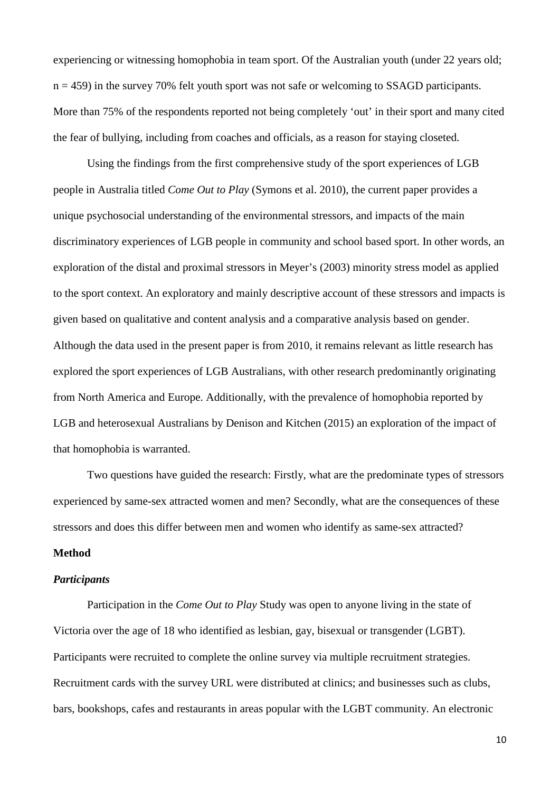experiencing or witnessing homophobia in team sport. Of the Australian youth (under 22 years old;  $n = 459$ ) in the survey 70% felt youth sport was not safe or welcoming to SSAGD participants. More than 75% of the respondents reported not being completely 'out' in their sport and many cited the fear of bullying, including from coaches and officials, as a reason for staying closeted.

Using the findings from the first comprehensive study of the sport experiences of LGB people in Australia titled *Come Out to Play* [\(Symons et al. 2010\)](#page-36-7), the current paper provides a unique psychosocial understanding of the environmental stressors, and impacts of the main discriminatory experiences of LGB people in community and school based sport. In other words, an exploration of the distal and proximal stressors in Meyer's [\(2003\)](#page-35-0) minority stress model as applied to the sport context. An exploratory and mainly descriptive account of these stressors and impacts is given based on qualitative and content analysis and a comparative analysis based on gender. Although the data used in the present paper is from 2010, it remains relevant as little research has explored the sport experiences of LGB Australians, with other research predominantly originating from North America and Europe. Additionally, with the prevalence of homophobia reported by LGB and heterosexual Australians by Denison and Kitchen [\(2015\)](#page-32-8) an exploration of the impact of that homophobia is warranted.

Two questions have guided the research: Firstly, what are the predominate types of stressors experienced by same-sex attracted women and men? Secondly, what are the consequences of these stressors and does this differ between men and women who identify as same-sex attracted?

# **Method**

#### *Participants*

Participation in the *Come Out to Play* Study was open to anyone living in the state of Victoria over the age of 18 who identified as lesbian, gay, bisexual or transgender (LGBT). Participants were recruited to complete the online survey via multiple recruitment strategies. Recruitment cards with the survey URL were distributed at clinics; and businesses such as clubs, bars, bookshops, cafes and restaurants in areas popular with the LGBT community. An electronic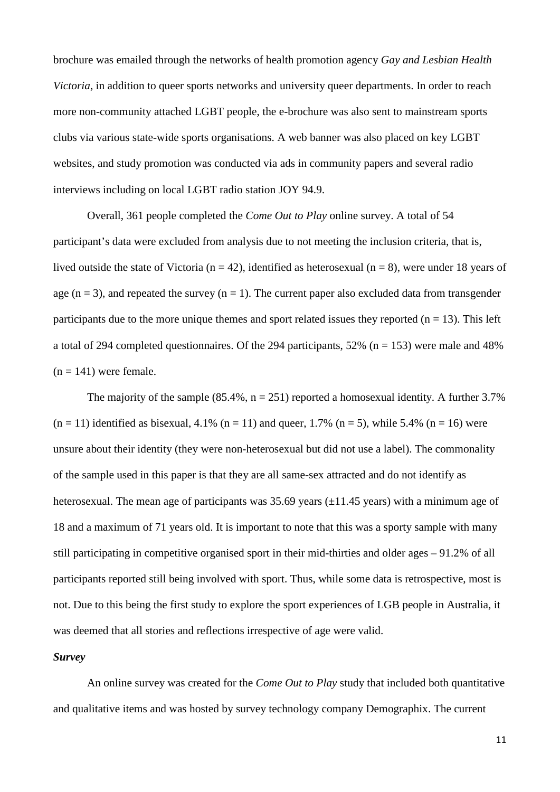brochure was emailed through the networks of health promotion agency *Gay and Lesbian Health Victoria*, in addition to queer sports networks and university queer departments. In order to reach more non-community attached LGBT people, the e-brochure was also sent to mainstream sports clubs via various state-wide sports organisations. A web banner was also placed on key LGBT websites, and study promotion was conducted via ads in community papers and several radio interviews including on local LGBT radio station JOY 94.9.

Overall, 361 people completed the *Come Out to Play* online survey. A total of 54 participant's data were excluded from analysis due to not meeting the inclusion criteria, that is, lived outside the state of Victoria ( $n = 42$ ), identified as heterosexual ( $n = 8$ ), were under 18 years of age ( $n = 3$ ), and repeated the survey ( $n = 1$ ). The current paper also excluded data from transgender participants due to the more unique themes and sport related issues they reported  $(n = 13)$ . This left a total of 294 completed questionnaires. Of the 294 participants,  $52\%$  (n = 153) were male and 48%  $(n = 141)$  were female.

The majority of the sample (85.4%,  $n = 251$ ) reported a homosexual identity. A further 3.7%  $(n = 11)$  identified as bisexual, 4.1%  $(n = 11)$  and queer, 1.7%  $(n = 5)$ , while 5.4%  $(n = 16)$  were unsure about their identity (they were non-heterosexual but did not use a label). The commonality of the sample used in this paper is that they are all same-sex attracted and do not identify as heterosexual. The mean age of participants was  $35.69$  years ( $\pm$ 11.45 years) with a minimum age of 18 and a maximum of 71 years old. It is important to note that this was a sporty sample with many still participating in competitive organised sport in their mid-thirties and older ages – 91.2% of all participants reported still being involved with sport. Thus, while some data is retrospective, most is not. Due to this being the first study to explore the sport experiences of LGB people in Australia, it was deemed that all stories and reflections irrespective of age were valid.

# *Survey*

An online survey was created for the *Come Out to Play* study that included both quantitative and qualitative items and was hosted by survey technology company Demographix. The current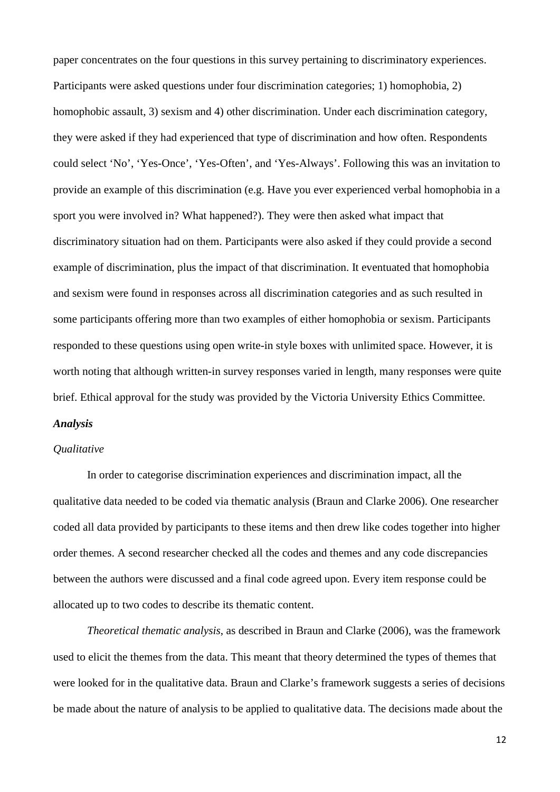paper concentrates on the four questions in this survey pertaining to discriminatory experiences. Participants were asked questions under four discrimination categories; 1) homophobia, 2) homophobic assault, 3) sexism and 4) other discrimination. Under each discrimination category, they were asked if they had experienced that type of discrimination and how often. Respondents could select 'No', 'Yes-Once', 'Yes-Often', and 'Yes-Always'. Following this was an invitation to provide an example of this discrimination (e.g. Have you ever experienced verbal homophobia in a sport you were involved in? What happened?). They were then asked what impact that discriminatory situation had on them. Participants were also asked if they could provide a second example of discrimination, plus the impact of that discrimination. It eventuated that homophobia and sexism were found in responses across all discrimination categories and as such resulted in some participants offering more than two examples of either homophobia or sexism. Participants responded to these questions using open write-in style boxes with unlimited space. However, it is worth noting that although written-in survey responses varied in length, many responses were quite brief. Ethical approval for the study was provided by the Victoria University Ethics Committee.

## *Analysis*

## *Qualitative*

In order to categorise discrimination experiences and discrimination impact, all the qualitative data needed to be coded via thematic analysis [\(Braun and Clarke 2006\)](#page-31-7). One researcher coded all data provided by participants to these items and then drew like codes together into higher order themes. A second researcher checked all the codes and themes and any code discrepancies between the authors were discussed and a final code agreed upon. Every item response could be allocated up to two codes to describe its thematic content.

*Theoretical thematic analysis*, as described in [Braun and Clarke \(2006\),](#page-31-7) was the framework used to elicit the themes from the data. This meant that theory determined the types of themes that were looked for in the qualitative data. Braun and Clarke's framework suggests a series of decisions be made about the nature of analysis to be applied to qualitative data. The decisions made about the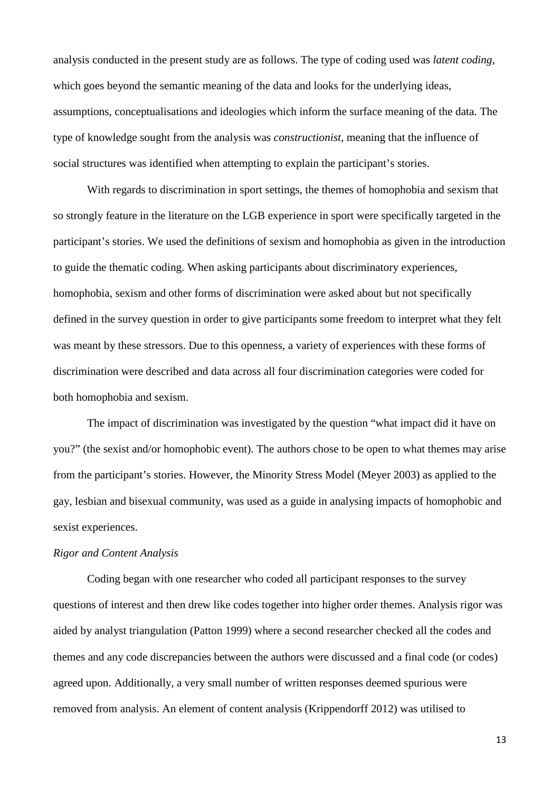analysis conducted in the present study are as follows. The type of coding used was *latent coding*, which goes beyond the semantic meaning of the data and looks for the underlying ideas, assumptions, conceptualisations and ideologies which inform the surface meaning of the data. The type of knowledge sought from the analysis was *constructionist*, meaning that the influence of social structures was identified when attempting to explain the participant's stories.

With regards to discrimination in sport settings, the themes of homophobia and sexism that so strongly feature in the literature on the LGB experience in sport were specifically targeted in the participant's stories. We used the definitions of sexism and homophobia as given in the introduction to guide the thematic coding. When asking participants about discriminatory experiences, homophobia, sexism and other forms of discrimination were asked about but not specifically defined in the survey question in order to give participants some freedom to interpret what they felt was meant by these stressors. Due to this openness, a variety of experiences with these forms of discrimination were described and data across all four discrimination categories were coded for both homophobia and sexism.

The impact of discrimination was investigated by the question "what impact did it have on you?" (the sexist and/or homophobic event). The authors chose to be open to what themes may arise from the participant's stories. However, the Minority Stress Model [\(Meyer 2003\)](#page-35-0) as applied to the gay, lesbian and bisexual community, was used as a guide in analysing impacts of homophobic and sexist experiences.

#### *Rigor and Content Analysis*

Coding began with one researcher who coded all participant responses to the survey questions of interest and then drew like codes together into higher order themes. Analysis rigor was aided by analyst triangulation [\(Patton 1999\)](#page-35-5) where a second researcher checked all the codes and themes and any code discrepancies between the authors were discussed and a final code (or codes) agreed upon. Additionally, a very small number of written responses deemed spurious were removed from analysis. An element of content analysis [\(Krippendorff 2012\)](#page-34-7) was utilised to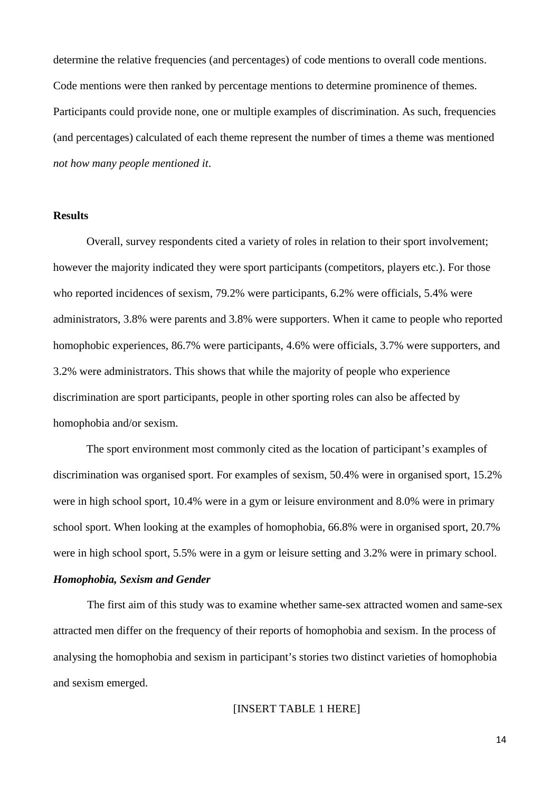determine the relative frequencies (and percentages) of code mentions to overall code mentions. Code mentions were then ranked by percentage mentions to determine prominence of themes. Participants could provide none, one or multiple examples of discrimination. As such, frequencies (and percentages) calculated of each theme represent the number of times a theme was mentioned *not how many people mentioned it*.

# **Results**

Overall, survey respondents cited a variety of roles in relation to their sport involvement; however the majority indicated they were sport participants (competitors, players etc.). For those who reported incidences of sexism, 79.2% were participants, 6.2% were officials, 5.4% were administrators, 3.8% were parents and 3.8% were supporters. When it came to people who reported homophobic experiences, 86.7% were participants, 4.6% were officials, 3.7% were supporters, and 3.2% were administrators. This shows that while the majority of people who experience discrimination are sport participants, people in other sporting roles can also be affected by homophobia and/or sexism.

The sport environment most commonly cited as the location of participant's examples of discrimination was organised sport. For examples of sexism, 50.4% were in organised sport, 15.2% were in high school sport, 10.4% were in a gym or leisure environment and 8.0% were in primary school sport. When looking at the examples of homophobia, 66.8% were in organised sport, 20.7% were in high school sport, 5.5% were in a gym or leisure setting and 3.2% were in primary school.

# *Homophobia, Sexism and Gender*

The first aim of this study was to examine whether same-sex attracted women and same-sex attracted men differ on the frequency of their reports of homophobia and sexism. In the process of analysing the homophobia and sexism in participant's stories two distinct varieties of homophobia and sexism emerged.

# [INSERT TABLE 1 HERE]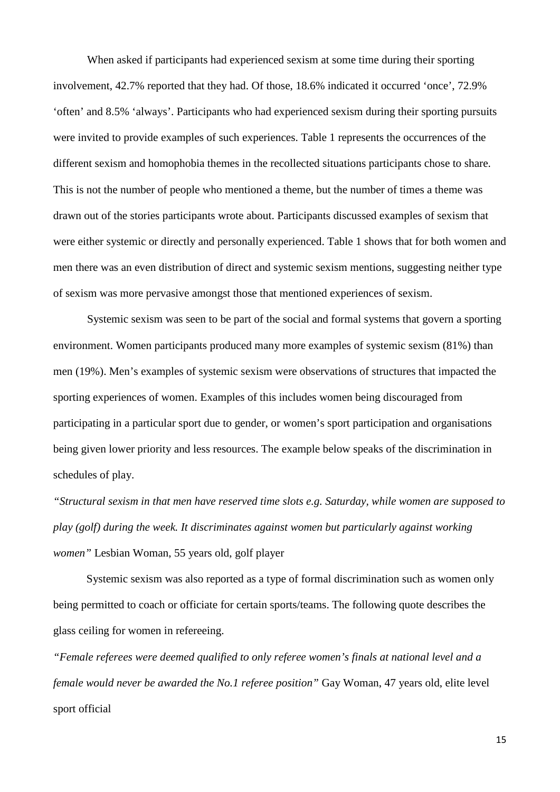When asked if participants had experienced sexism at some time during their sporting involvement, 42.7% reported that they had. Of those, 18.6% indicated it occurred 'once', 72.9% 'often' and 8.5% 'always'. Participants who had experienced sexism during their sporting pursuits were invited to provide examples of such experiences. Table 1 represents the occurrences of the different sexism and homophobia themes in the recollected situations participants chose to share. This is not the number of people who mentioned a theme, but the number of times a theme was drawn out of the stories participants wrote about. Participants discussed examples of sexism that were either systemic or directly and personally experienced. Table 1 shows that for both women and men there was an even distribution of direct and systemic sexism mentions, suggesting neither type of sexism was more pervasive amongst those that mentioned experiences of sexism.

Systemic sexism was seen to be part of the social and formal systems that govern a sporting environment. Women participants produced many more examples of systemic sexism (81%) than men (19%). Men's examples of systemic sexism were observations of structures that impacted the sporting experiences of women. Examples of this includes women being discouraged from participating in a particular sport due to gender, or women's sport participation and organisations being given lower priority and less resources. The example below speaks of the discrimination in schedules of play.

*"Structural sexism in that men have reserved time slots e.g. Saturday, while women are supposed to play (golf) during the week. It discriminates against women but particularly against working women"* Lesbian Woman, 55 years old, golf player

Systemic sexism was also reported as a type of formal discrimination such as women only being permitted to coach or officiate for certain sports/teams. The following quote describes the glass ceiling for women in refereeing.

*"Female referees were deemed qualified to only referee women's finals at national level and a female would never be awarded the No.1 referee position"* Gay Woman, 47 years old, elite level sport official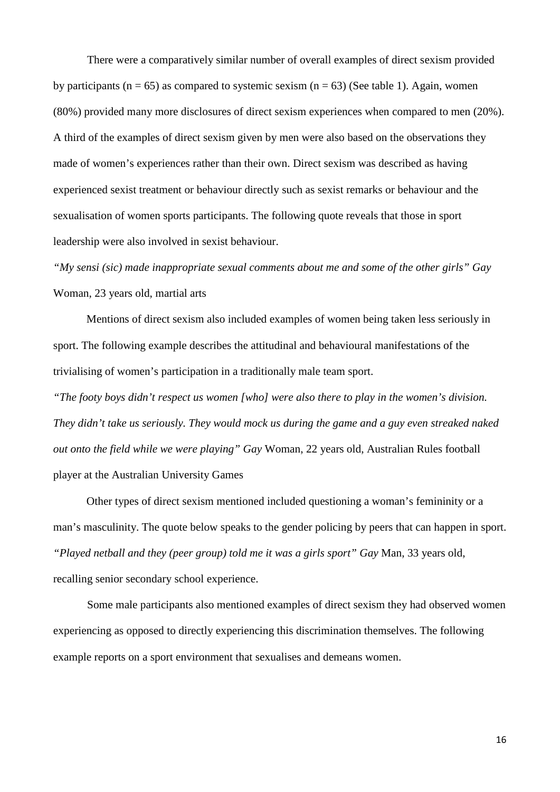There were a comparatively similar number of overall examples of direct sexism provided by participants ( $n = 65$ ) as compared to systemic sexism ( $n = 63$ ) (See table 1). Again, women (80%) provided many more disclosures of direct sexism experiences when compared to men (20%). A third of the examples of direct sexism given by men were also based on the observations they made of women's experiences rather than their own. Direct sexism was described as having experienced sexist treatment or behaviour directly such as sexist remarks or behaviour and the sexualisation of women sports participants. The following quote reveals that those in sport leadership were also involved in sexist behaviour.

*"My sensi (sic) made inappropriate sexual comments about me and some of the other girls" Gay*  Woman, 23 years old, martial arts

Mentions of direct sexism also included examples of women being taken less seriously in sport. The following example describes the attitudinal and behavioural manifestations of the trivialising of women's participation in a traditionally male team sport.

*"The footy boys didn't respect us women [who] were also there to play in the women's division. They didn't take us seriously. They would mock us during the game and a guy even streaked naked out onto the field while we were playing" Gay* Woman, 22 years old, Australian Rules football player at the Australian University Games

Other types of direct sexism mentioned included questioning a woman's femininity or a man's masculinity. The quote below speaks to the gender policing by peers that can happen in sport. *"Played netball and they (peer group) told me it was a girls sport" Gay* Man, 33 years old, recalling senior secondary school experience.

Some male participants also mentioned examples of direct sexism they had observed women experiencing as opposed to directly experiencing this discrimination themselves. The following example reports on a sport environment that sexualises and demeans women.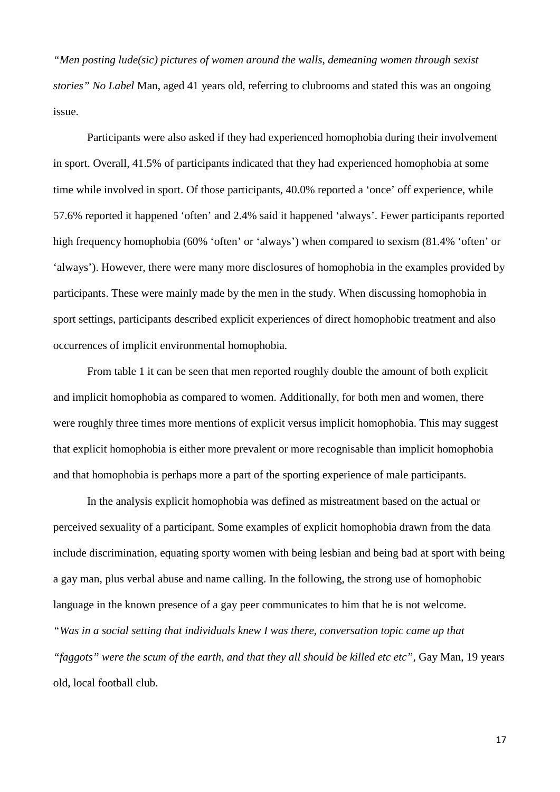*"Men posting lude(sic) pictures of women around the walls, demeaning women through sexist stories" No Label* Man, aged 41 years old, referring to clubrooms and stated this was an ongoing issue.

Participants were also asked if they had experienced homophobia during their involvement in sport. Overall, 41.5% of participants indicated that they had experienced homophobia at some time while involved in sport. Of those participants, 40.0% reported a 'once' off experience, while 57.6% reported it happened 'often' and 2.4% said it happened 'always'. Fewer participants reported high frequency homophobia (60% 'often' or 'always') when compared to sexism (81.4% 'often' or 'always'). However, there were many more disclosures of homophobia in the examples provided by participants. These were mainly made by the men in the study. When discussing homophobia in sport settings, participants described explicit experiences of direct homophobic treatment and also occurrences of implicit environmental homophobia.

From table 1 it can be seen that men reported roughly double the amount of both explicit and implicit homophobia as compared to women. Additionally, for both men and women, there were roughly three times more mentions of explicit versus implicit homophobia. This may suggest that explicit homophobia is either more prevalent or more recognisable than implicit homophobia and that homophobia is perhaps more a part of the sporting experience of male participants.

In the analysis explicit homophobia was defined as mistreatment based on the actual or perceived sexuality of a participant. Some examples of explicit homophobia drawn from the data include discrimination, equating sporty women with being lesbian and being bad at sport with being a gay man, plus verbal abuse and name calling. In the following, the strong use of homophobic language in the known presence of a gay peer communicates to him that he is not welcome. *"Was in a social setting that individuals knew I was there, conversation topic came up that*  "*faggots*" were the scum of the earth, and that they all should be killed etc etc", Gay Man, 19 years old, local football club.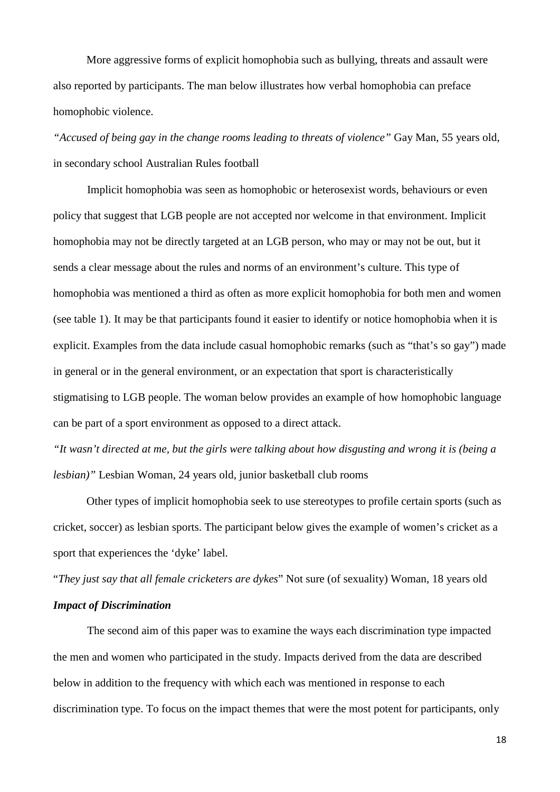More aggressive forms of explicit homophobia such as bullying, threats and assault were also reported by participants. The man below illustrates how verbal homophobia can preface homophobic violence.

*"Accused of being gay in the change rooms leading to threats of violence"* Gay Man, 55 years old, in secondary school Australian Rules football

Implicit homophobia was seen as homophobic or heterosexist words, behaviours or even policy that suggest that LGB people are not accepted nor welcome in that environment. Implicit homophobia may not be directly targeted at an LGB person, who may or may not be out, but it sends a clear message about the rules and norms of an environment's culture. This type of homophobia was mentioned a third as often as more explicit homophobia for both men and women (see table 1). It may be that participants found it easier to identify or notice homophobia when it is explicit. Examples from the data include casual homophobic remarks (such as "that's so gay") made in general or in the general environment, or an expectation that sport is characteristically stigmatising to LGB people. The woman below provides an example of how homophobic language can be part of a sport environment as opposed to a direct attack.

*"It wasn't directed at me, but the girls were talking about how disgusting and wrong it is (being a lesbian)"* Lesbian Woman, 24 years old, junior basketball club rooms

Other types of implicit homophobia seek to use stereotypes to profile certain sports (such as cricket, soccer) as lesbian sports. The participant below gives the example of women's cricket as a sport that experiences the 'dyke' label.

"*They just say that all female cricketers are dykes*" Not sure (of sexuality) Woman, 18 years old

## *Impact of Discrimination*

The second aim of this paper was to examine the ways each discrimination type impacted the men and women who participated in the study. Impacts derived from the data are described below in addition to the frequency with which each was mentioned in response to each discrimination type. To focus on the impact themes that were the most potent for participants, only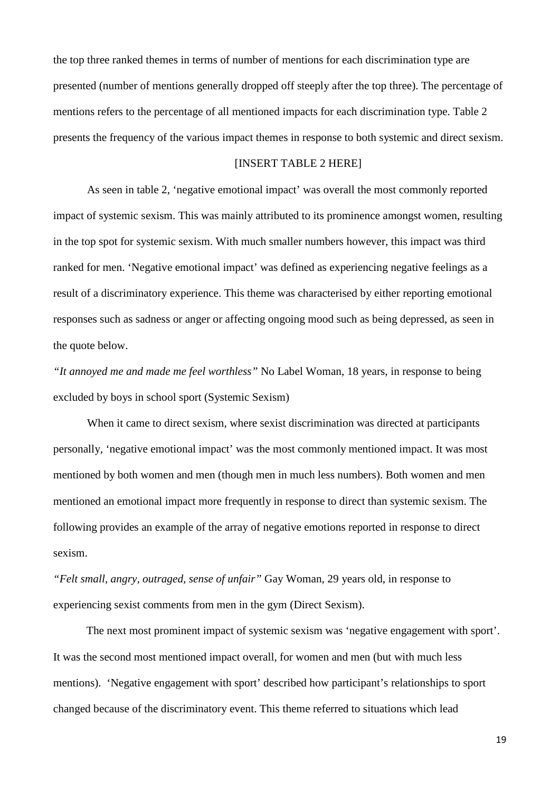the top three ranked themes in terms of number of mentions for each discrimination type are presented (number of mentions generally dropped off steeply after the top three). The percentage of mentions refers to the percentage of all mentioned impacts for each discrimination type. Table 2 presents the frequency of the various impact themes in response to both systemic and direct sexism.

#### [INSERT TABLE 2 HERE]

As seen in table 2, 'negative emotional impact' was overall the most commonly reported impact of systemic sexism. This was mainly attributed to its prominence amongst women, resulting in the top spot for systemic sexism. With much smaller numbers however, this impact was third ranked for men. 'Negative emotional impact' was defined as experiencing negative feelings as a result of a discriminatory experience. This theme was characterised by either reporting emotional responses such as sadness or anger or affecting ongoing mood such as being depressed, as seen in the quote below.

*"It annoyed me and made me feel worthless"* No Label Woman, 18 years, in response to being excluded by boys in school sport (Systemic Sexism)

When it came to direct sexism, where sexist discrimination was directed at participants personally, 'negative emotional impact' was the most commonly mentioned impact. It was most mentioned by both women and men (though men in much less numbers). Both women and men mentioned an emotional impact more frequently in response to direct than systemic sexism. The following provides an example of the array of negative emotions reported in response to direct sexism.

*"Felt small, angry, outraged, sense of unfair"* Gay Woman, 29 years old, in response to experiencing sexist comments from men in the gym (Direct Sexism).

The next most prominent impact of systemic sexism was 'negative engagement with sport'. It was the second most mentioned impact overall, for women and men (but with much less mentions). 'Negative engagement with sport' described how participant's relationships to sport changed because of the discriminatory event. This theme referred to situations which lead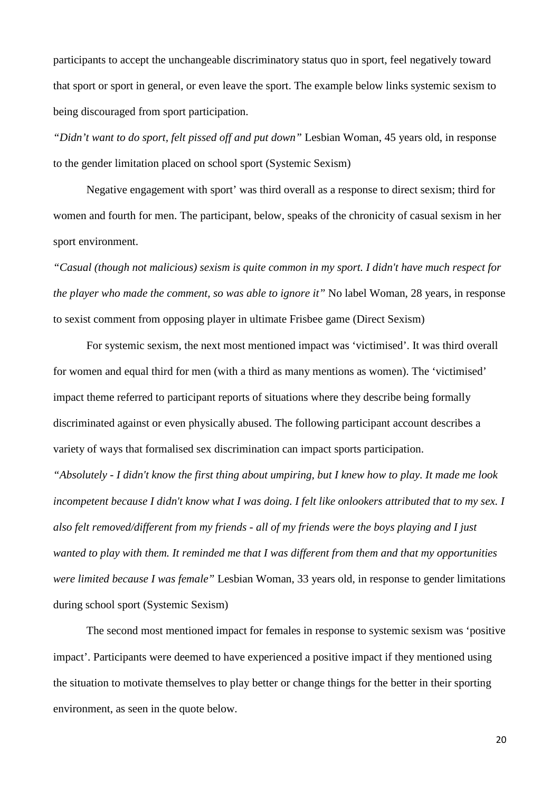participants to accept the unchangeable discriminatory status quo in sport, feel negatively toward that sport or sport in general, or even leave the sport. The example below links systemic sexism to being discouraged from sport participation.

*"Didn't want to do sport, felt pissed off and put down"* Lesbian Woman, 45 years old, in response to the gender limitation placed on school sport (Systemic Sexism)

Negative engagement with sport' was third overall as a response to direct sexism; third for women and fourth for men. The participant, below, speaks of the chronicity of casual sexism in her sport environment.

*"Casual (though not malicious) sexism is quite common in my sport. I didn't have much respect for the player who made the comment, so was able to ignore it*" No label Woman, 28 years, in response to sexist comment from opposing player in ultimate Frisbee game (Direct Sexism)

For systemic sexism, the next most mentioned impact was 'victimised'. It was third overall for women and equal third for men (with a third as many mentions as women). The 'victimised' impact theme referred to participant reports of situations where they describe being formally discriminated against or even physically abused. The following participant account describes a variety of ways that formalised sex discrimination can impact sports participation.

*"Absolutely - I didn't know the first thing about umpiring, but I knew how to play. It made me look incompetent because I didn't know what I was doing. I felt like onlookers attributed that to my sex. I also felt removed/different from my friends - all of my friends were the boys playing and I just wanted to play with them. It reminded me that I was different from them and that my opportunities were limited because I was female"* Lesbian Woman, 33 years old, in response to gender limitations during school sport (Systemic Sexism)

The second most mentioned impact for females in response to systemic sexism was 'positive impact'. Participants were deemed to have experienced a positive impact if they mentioned using the situation to motivate themselves to play better or change things for the better in their sporting environment, as seen in the quote below.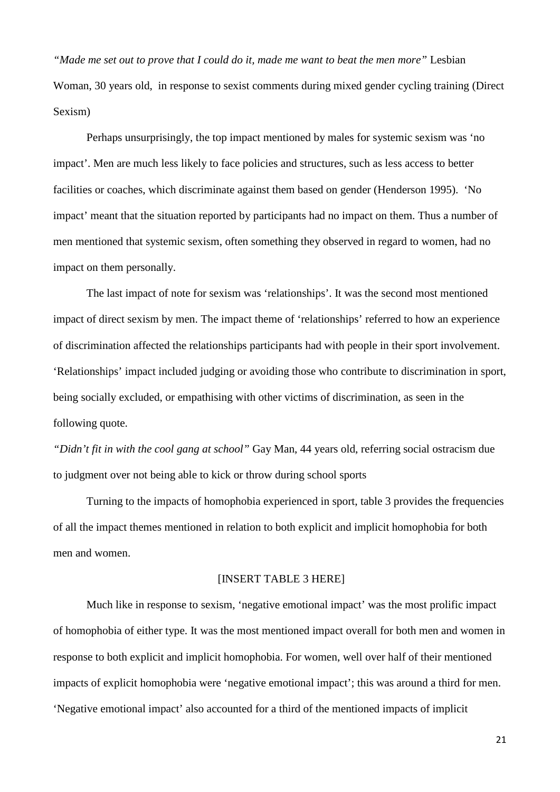*"Made me set out to prove that I could do it, made me want to beat the men more"* Lesbian Woman, 30 years old, in response to sexist comments during mixed gender cycling training (Direct Sexism)

Perhaps unsurprisingly, the top impact mentioned by males for systemic sexism was 'no impact'. Men are much less likely to face policies and structures, such as less access to better facilities or coaches, which discriminate against them based on gender [\(Henderson 1995\)](#page-33-6). 'No impact' meant that the situation reported by participants had no impact on them. Thus a number of men mentioned that systemic sexism, often something they observed in regard to women, had no impact on them personally.

The last impact of note for sexism was 'relationships'. It was the second most mentioned impact of direct sexism by men. The impact theme of 'relationships' referred to how an experience of discrimination affected the relationships participants had with people in their sport involvement. 'Relationships' impact included judging or avoiding those who contribute to discrimination in sport, being socially excluded, or empathising with other victims of discrimination, as seen in the following quote.

*"Didn't fit in with the cool gang at school"* Gay Man, 44 years old, referring social ostracism due to judgment over not being able to kick or throw during school sports

Turning to the impacts of homophobia experienced in sport, table 3 provides the frequencies of all the impact themes mentioned in relation to both explicit and implicit homophobia for both men and women.

### [INSERT TABLE 3 HERE]

Much like in response to sexism, 'negative emotional impact' was the most prolific impact of homophobia of either type. It was the most mentioned impact overall for both men and women in response to both explicit and implicit homophobia. For women, well over half of their mentioned impacts of explicit homophobia were 'negative emotional impact'; this was around a third for men. 'Negative emotional impact' also accounted for a third of the mentioned impacts of implicit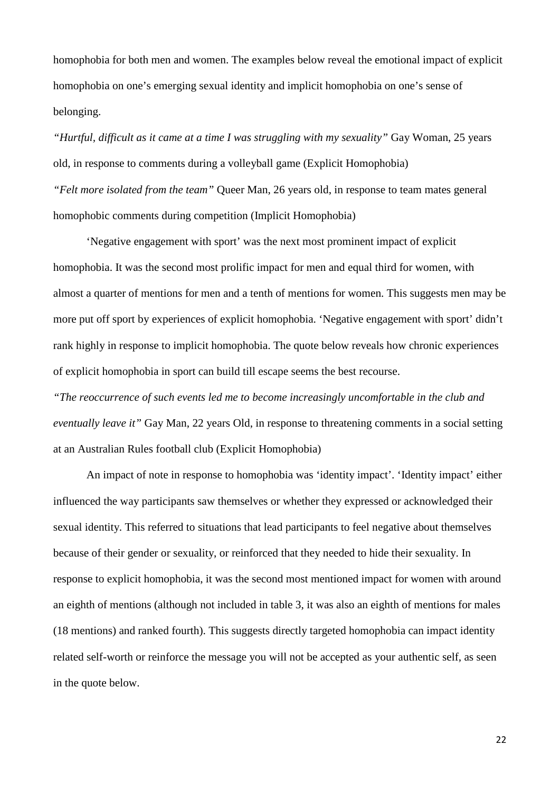homophobia for both men and women. The examples below reveal the emotional impact of explicit homophobia on one's emerging sexual identity and implicit homophobia on one's sense of belonging.

*"Hurtful, difficult as it came at a time I was struggling with my sexuality"* Gay Woman, 25 years old, in response to comments during a volleyball game (Explicit Homophobia) *"Felt more isolated from the team"* Queer Man, 26 years old, in response to team mates general homophobic comments during competition (Implicit Homophobia)

'Negative engagement with sport' was the next most prominent impact of explicit homophobia. It was the second most prolific impact for men and equal third for women, with almost a quarter of mentions for men and a tenth of mentions for women. This suggests men may be more put off sport by experiences of explicit homophobia. 'Negative engagement with sport' didn't rank highly in response to implicit homophobia. The quote below reveals how chronic experiences of explicit homophobia in sport can build till escape seems the best recourse.

*"The reoccurrence of such events led me to become increasingly uncomfortable in the club and eventually leave it"* Gay Man, 22 years Old, in response to threatening comments in a social setting at an Australian Rules football club (Explicit Homophobia)

An impact of note in response to homophobia was 'identity impact'. 'Identity impact' either influenced the way participants saw themselves or whether they expressed or acknowledged their sexual identity. This referred to situations that lead participants to feel negative about themselves because of their gender or sexuality, or reinforced that they needed to hide their sexuality. In response to explicit homophobia, it was the second most mentioned impact for women with around an eighth of mentions (although not included in table 3, it was also an eighth of mentions for males (18 mentions) and ranked fourth). This suggests directly targeted homophobia can impact identity related self-worth or reinforce the message you will not be accepted as your authentic self, as seen in the quote below.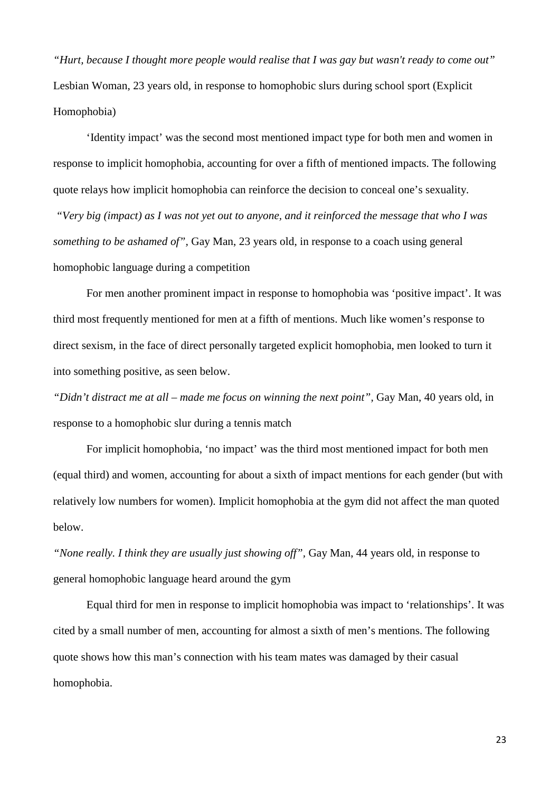*"Hurt, because I thought more people would realise that I was gay but wasn't ready to come out"*  Lesbian Woman, 23 years old, in response to homophobic slurs during school sport (Explicit Homophobia)

'Identity impact' was the second most mentioned impact type for both men and women in response to implicit homophobia, accounting for over a fifth of mentioned impacts. The following quote relays how implicit homophobia can reinforce the decision to conceal one's sexuality.

*"Very big (impact) as I was not yet out to anyone, and it reinforced the message that who I was something to be ashamed of",* Gay Man, 23 years old, in response to a coach using general homophobic language during a competition

For men another prominent impact in response to homophobia was 'positive impact'. It was third most frequently mentioned for men at a fifth of mentions. Much like women's response to direct sexism, in the face of direct personally targeted explicit homophobia, men looked to turn it into something positive, as seen below.

*"Didn't distract me at all – made me focus on winning the next point",* Gay Man, 40 years old, in response to a homophobic slur during a tennis match

For implicit homophobia, 'no impact' was the third most mentioned impact for both men (equal third) and women, accounting for about a sixth of impact mentions for each gender (but with relatively low numbers for women). Implicit homophobia at the gym did not affect the man quoted below.

*"None really. I think they are usually just showing off",* Gay Man, 44 years old, in response to general homophobic language heard around the gym

Equal third for men in response to implicit homophobia was impact to 'relationships'. It was cited by a small number of men, accounting for almost a sixth of men's mentions. The following quote shows how this man's connection with his team mates was damaged by their casual homophobia.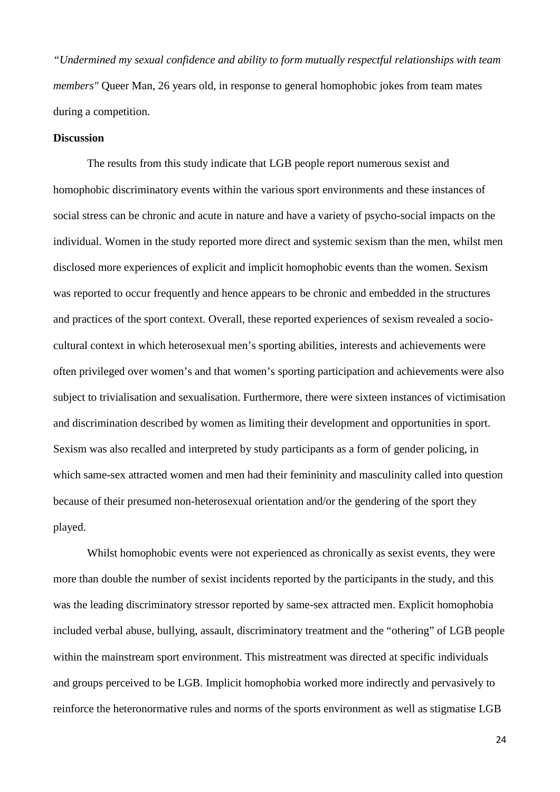*"Undermined my sexual confidence and ability to form mutually respectful relationships with team members"* Queer Man, 26 years old, in response to general homophobic jokes from team mates during a competition.

# **Discussion**

The results from this study indicate that LGB people report numerous sexist and homophobic discriminatory events within the various sport environments and these instances of social stress can be chronic and acute in nature and have a variety of psycho-social impacts on the individual. Women in the study reported more direct and systemic sexism than the men, whilst men disclosed more experiences of explicit and implicit homophobic events than the women. Sexism was reported to occur frequently and hence appears to be chronic and embedded in the structures and practices of the sport context. Overall, these reported experiences of sexism revealed a sociocultural context in which heterosexual men's sporting abilities, interests and achievements were often privileged over women's and that women's sporting participation and achievements were also subject to trivialisation and sexualisation. Furthermore, there were sixteen instances of victimisation and discrimination described by women as limiting their development and opportunities in sport. Sexism was also recalled and interpreted by study participants as a form of gender policing, in which same-sex attracted women and men had their femininity and masculinity called into question because of their presumed non-heterosexual orientation and/or the gendering of the sport they played.

Whilst homophobic events were not experienced as chronically as sexist events, they were more than double the number of sexist incidents reported by the participants in the study, and this was the leading discriminatory stressor reported by same-sex attracted men. Explicit homophobia included verbal abuse, bullying, assault, discriminatory treatment and the "othering" of LGB people within the mainstream sport environment. This mistreatment was directed at specific individuals and groups perceived to be LGB. Implicit homophobia worked more indirectly and pervasively to reinforce the heteronormative rules and norms of the sports environment as well as stigmatise LGB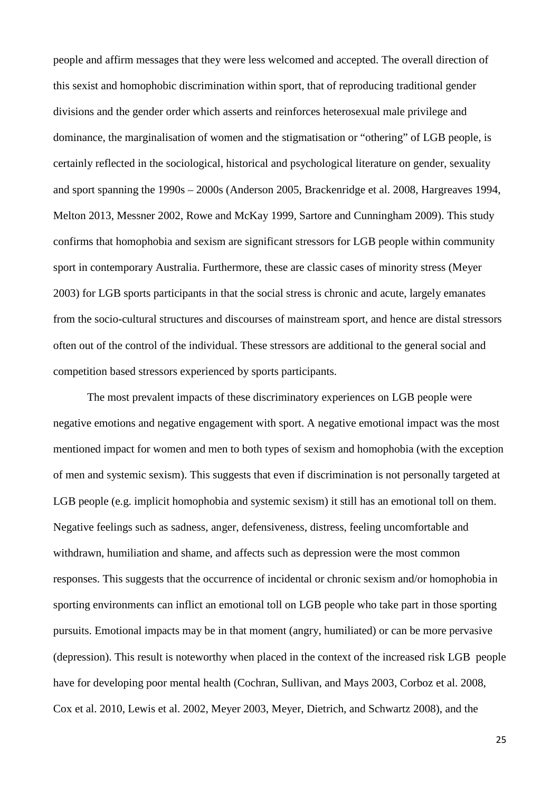people and affirm messages that they were less welcomed and accepted. The overall direction of this sexist and homophobic discrimination within sport, that of reproducing traditional gender divisions and the gender order which asserts and reinforces heterosexual male privilege and dominance, the marginalisation of women and the stigmatisation or "othering" of LGB people, is certainly reflected in the sociological, historical and psychological literature on gender, sexuality and sport spanning the 1990s – 2000s [\(Anderson 2005,](#page-31-8) [Brackenridge et al. 2008,](#page-31-1) [Hargreaves 1994,](#page-33-7) [Melton 2013,](#page-35-6) [Messner 2002,](#page-35-2) [Rowe and McKay 1999,](#page-36-1) [Sartore and Cunningham 2009\)](#page-36-4). This study confirms that homophobia and sexism are significant stressors for LGB people within community sport in contemporary Australia. Furthermore, these are classic cases of minority stress [\(Meyer](#page-35-0)  [2003\)](#page-35-0) for LGB sports participants in that the social stress is chronic and acute, largely emanates from the socio-cultural structures and discourses of mainstream sport, and hence are distal stressors often out of the control of the individual. These stressors are additional to the general social and competition based stressors experienced by sports participants.

The most prevalent impacts of these discriminatory experiences on LGB people were negative emotions and negative engagement with sport. A negative emotional impact was the most mentioned impact for women and men to both types of sexism and homophobia (with the exception of men and systemic sexism). This suggests that even if discrimination is not personally targeted at LGB people (e.g. implicit homophobia and systemic sexism) it still has an emotional toll on them. Negative feelings such as sadness, anger, defensiveness, distress, feeling uncomfortable and withdrawn, humiliation and shame, and affects such as depression were the most common responses. This suggests that the occurrence of incidental or chronic sexism and/or homophobia in sporting environments can inflict an emotional toll on LGB people who take part in those sporting pursuits. Emotional impacts may be in that moment (angry, humiliated) or can be more pervasive (depression). This result is noteworthy when placed in the context of the increased risk LGB people have for developing poor mental health [\(Cochran, Sullivan, and Mays 2003,](#page-32-1) [Corboz et al. 2008,](#page-32-2) [Cox et al. 2010,](#page-32-3) [Lewis et al. 2002,](#page-34-8) [Meyer 2003,](#page-35-0) [Meyer, Dietrich, and Schwartz 2008\)](#page-35-1), and the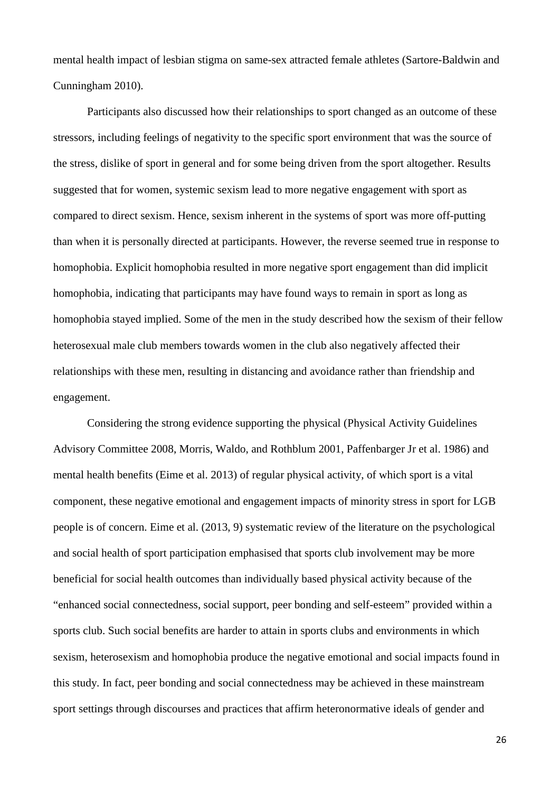mental health impact of lesbian stigma on same-sex attracted female athletes [\(Sartore-Baldwin and](#page-36-5)  [Cunningham 2010\)](#page-36-5).

Participants also discussed how their relationships to sport changed as an outcome of these stressors, including feelings of negativity to the specific sport environment that was the source of the stress, dislike of sport in general and for some being driven from the sport altogether. Results suggested that for women, systemic sexism lead to more negative engagement with sport as compared to direct sexism. Hence, sexism inherent in the systems of sport was more off-putting than when it is personally directed at participants. However, the reverse seemed true in response to homophobia. Explicit homophobia resulted in more negative sport engagement than did implicit homophobia, indicating that participants may have found ways to remain in sport as long as homophobia stayed implied. Some of the men in the study described how the sexism of their fellow heterosexual male club members towards women in the club also negatively affected their relationships with these men, resulting in distancing and avoidance rather than friendship and engagement.

Considering the strong evidence supporting the physical [\(Physical Activity Guidelines](#page-35-7)  [Advisory Committee 2008,](#page-35-7) [Morris, Waldo, and Rothblum 2001,](#page-35-8) [Paffenbarger Jr et al. 1986\)](#page-35-9) and mental health benefits [\(Eime et al. 2013\)](#page-33-8) of regular physical activity, of which sport is a vital component, these negative emotional and engagement impacts of minority stress in sport for LGB people is of concern. [Eime et al. \(2013, 9\)](#page-33-8) systematic review of the literature on the psychological and social health of sport participation emphasised that sports club involvement may be more beneficial for social health outcomes than individually based physical activity because of the "enhanced social connectedness, social support, peer bonding and self-esteem" provided within a sports club. Such social benefits are harder to attain in sports clubs and environments in which sexism, heterosexism and homophobia produce the negative emotional and social impacts found in this study. In fact, peer bonding and social connectedness may be achieved in these mainstream sport settings through discourses and practices that affirm heteronormative ideals of gender and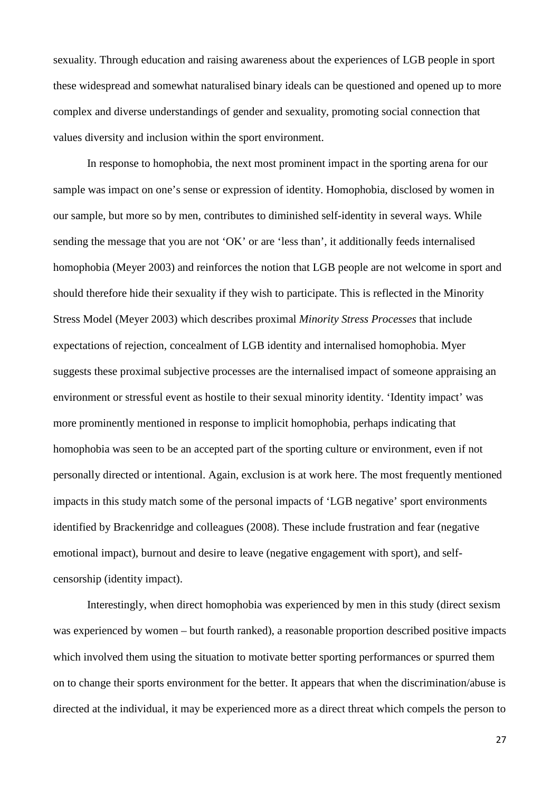sexuality. Through education and raising awareness about the experiences of LGB people in sport these widespread and somewhat naturalised binary ideals can be questioned and opened up to more complex and diverse understandings of gender and sexuality, promoting social connection that values diversity and inclusion within the sport environment.

In response to homophobia, the next most prominent impact in the sporting arena for our sample was impact on one's sense or expression of identity. Homophobia, disclosed by women in our sample, but more so by men, contributes to diminished self-identity in several ways. While sending the message that you are not 'OK' or are 'less than', it additionally feeds internalised homophobia [\(Meyer 2003\)](#page-35-0) and reinforces the notion that LGB people are not welcome in sport and should therefore hide their sexuality if they wish to participate. This is reflected in the Minority Stress Model [\(Meyer 2003\)](#page-35-0) which describes proximal *Minority Stress Processes* that include expectations of rejection, concealment of LGB identity and internalised homophobia. Myer suggests these proximal subjective processes are the internalised impact of someone appraising an environment or stressful event as hostile to their sexual minority identity. 'Identity impact' was more prominently mentioned in response to implicit homophobia, perhaps indicating that homophobia was seen to be an accepted part of the sporting culture or environment, even if not personally directed or intentional. Again, exclusion is at work here. The most frequently mentioned impacts in this study match some of the personal impacts of 'LGB negative' sport environments identified by Brackenridge and colleagues [\(2008\)](#page-31-1). These include frustration and fear (negative emotional impact), burnout and desire to leave (negative engagement with sport), and selfcensorship (identity impact).

Interestingly, when direct homophobia was experienced by men in this study (direct sexism was experienced by women – but fourth ranked), a reasonable proportion described positive impacts which involved them using the situation to motivate better sporting performances or spurred them on to change their sports environment for the better. It appears that when the discrimination/abuse is directed at the individual, it may be experienced more as a direct threat which compels the person to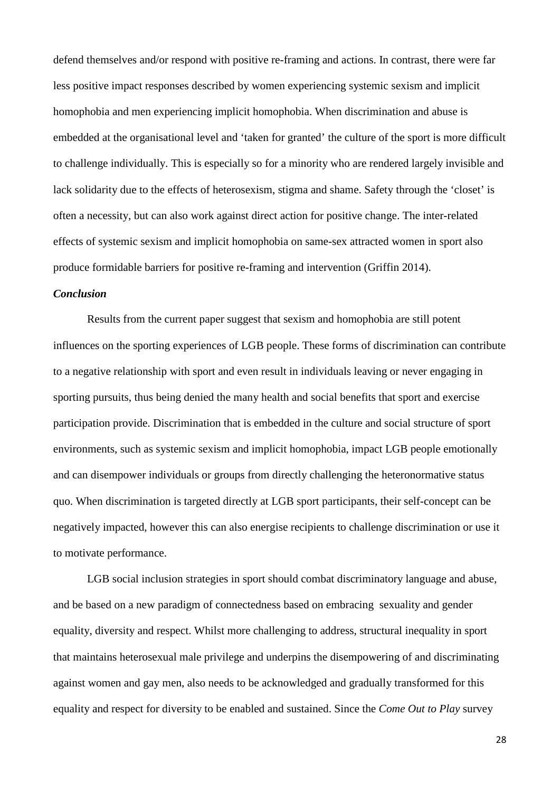defend themselves and/or respond with positive re-framing and actions. In contrast, there were far less positive impact responses described by women experiencing systemic sexism and implicit homophobia and men experiencing implicit homophobia. When discrimination and abuse is embedded at the organisational level and 'taken for granted' the culture of the sport is more difficult to challenge individually. This is especially so for a minority who are rendered largely invisible and lack solidarity due to the effects of heterosexism, stigma and shame. Safety through the 'closet' is often a necessity, but can also work against direct action for positive change. The inter-related effects of systemic sexism and implicit homophobia on same-sex attracted women in sport also produce formidable barriers for positive re-framing and intervention [\(Griffin 2014\)](#page-33-2).

# *Conclusion*

Results from the current paper suggest that sexism and homophobia are still potent influences on the sporting experiences of LGB people. These forms of discrimination can contribute to a negative relationship with sport and even result in individuals leaving or never engaging in sporting pursuits, thus being denied the many health and social benefits that sport and exercise participation provide. Discrimination that is embedded in the culture and social structure of sport environments, such as systemic sexism and implicit homophobia, impact LGB people emotionally and can disempower individuals or groups from directly challenging the heteronormative status quo. When discrimination is targeted directly at LGB sport participants, their self-concept can be negatively impacted, however this can also energise recipients to challenge discrimination or use it to motivate performance.

LGB social inclusion strategies in sport should combat discriminatory language and abuse, and be based on a new paradigm of connectedness based on embracing sexuality and gender equality, diversity and respect. Whilst more challenging to address, structural inequality in sport that maintains heterosexual male privilege and underpins the disempowering of and discriminating against women and gay men, also needs to be acknowledged and gradually transformed for this equality and respect for diversity to be enabled and sustained. Since the *Come Out to Play* survey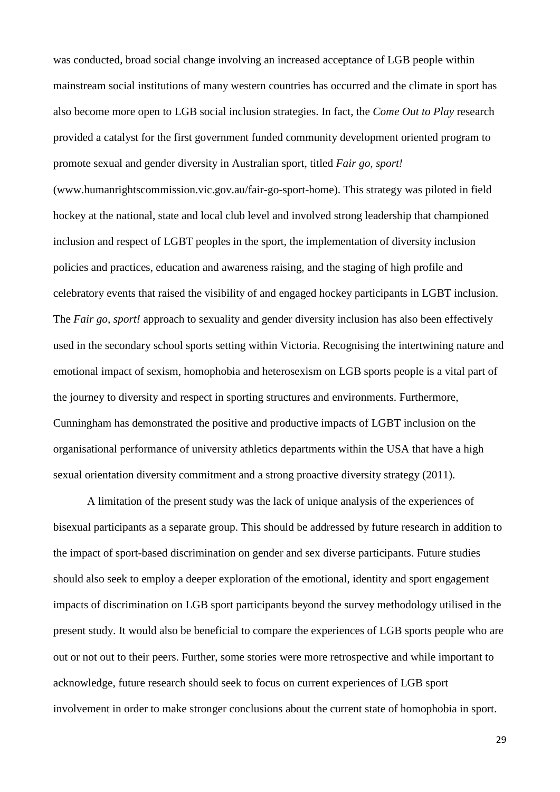was conducted, broad social change involving an increased acceptance of LGB people within mainstream social institutions of many western countries has occurred and the climate in sport has also become more open to LGB social inclusion strategies. In fact, the *Come Out to Play* research provided a catalyst for the first government funded community development oriented program to promote sexual and gender diversity in Australian sport, titled *Fair go, sport!*

(www.humanrightscommission.vic.gov.au/fair-go-sport-home). This strategy was piloted in field hockey at the national, state and local club level and involved strong leadership that championed inclusion and respect of LGBT peoples in the sport, the implementation of diversity inclusion policies and practices, education and awareness raising, and the staging of high profile and celebratory events that raised the visibility of and engaged hockey participants in LGBT inclusion. The *Fair go, sport!* approach to sexuality and gender diversity inclusion has also been effectively used in the secondary school sports setting within Victoria. Recognising the intertwining nature and emotional impact of sexism, homophobia and heterosexism on LGB sports people is a vital part of the journey to diversity and respect in sporting structures and environments. Furthermore, Cunningham has demonstrated the positive and productive impacts of LGBT inclusion on the organisational performance of university athletics departments within the USA that have a high sexual orientation diversity commitment and a strong proactive diversity strategy (2011).

A limitation of the present study was the lack of unique analysis of the experiences of bisexual participants as a separate group. This should be addressed by future research in addition to the impact of sport-based discrimination on gender and sex diverse participants. Future studies should also seek to employ a deeper exploration of the emotional, identity and sport engagement impacts of discrimination on LGB sport participants beyond the survey methodology utilised in the present study. It would also be beneficial to compare the experiences of LGB sports people who are out or not out to their peers. Further, some stories were more retrospective and while important to acknowledge, future research should seek to focus on current experiences of LGB sport involvement in order to make stronger conclusions about the current state of homophobia in sport.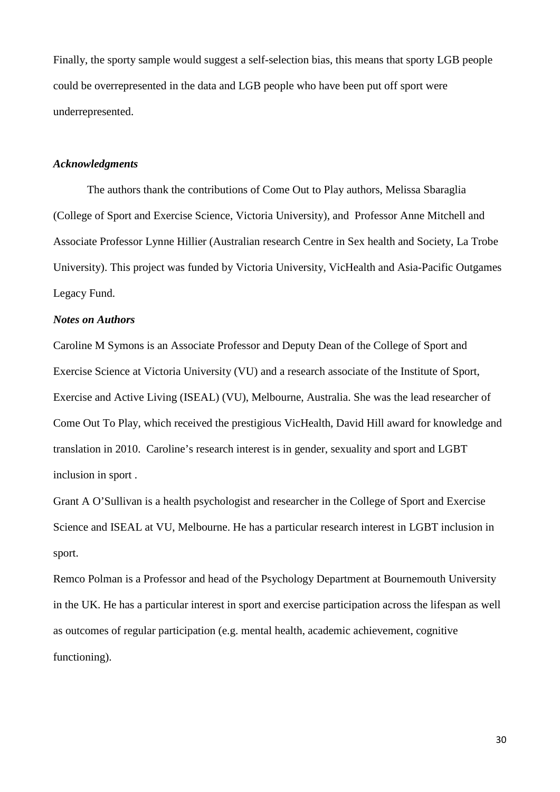Finally, the sporty sample would suggest a self-selection bias, this means that sporty LGB people could be overrepresented in the data and LGB people who have been put off sport were underrepresented.

# *Acknowledgments*

The authors thank the contributions of Come Out to Play authors, Melissa Sbaraglia (College of Sport and Exercise Science, Victoria University), and Professor Anne Mitchell and Associate Professor Lynne Hillier (Australian research Centre in Sex health and Society, La Trobe University). This project was funded by Victoria University, VicHealth and Asia-Pacific Outgames Legacy Fund.

#### *Notes on Authors*

Caroline M Symons is an Associate Professor and Deputy Dean of the College of Sport and Exercise Science at Victoria University (VU) and a research associate of the Institute of Sport, Exercise and Active Living (ISEAL) (VU), Melbourne, Australia. She was the lead researcher of Come Out To Play, which received the prestigious VicHealth, David Hill award for knowledge and translation in 2010. Caroline's research interest is in gender, sexuality and sport and LGBT inclusion in sport .

Grant A O'Sullivan is a health psychologist and researcher in the College of Sport and Exercise Science and ISEAL at VU, Melbourne. He has a particular research interest in LGBT inclusion in sport.

Remco Polman is a Professor and head of the Psychology Department at Bournemouth University in the UK. He has a particular interest in sport and exercise participation across the lifespan as well as outcomes of regular participation (e.g. mental health, academic achievement, cognitive functioning).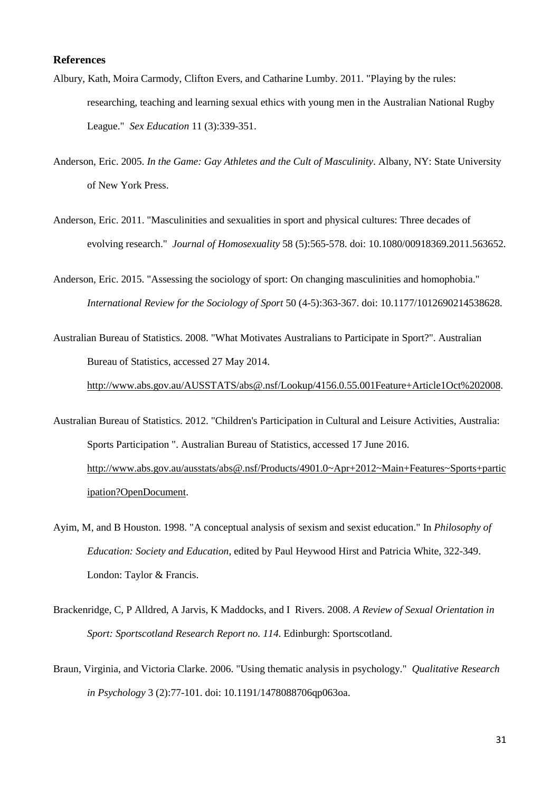# **References**

- <span id="page-31-2"></span>Albury, Kath, Moira Carmody, Clifton Evers, and Catharine Lumby. 2011. "Playing by the rules: researching, teaching and learning sexual ethics with young men in the Australian National Rugby League." *Sex Education* 11 (3):339-351.
- <span id="page-31-8"></span>Anderson, Eric. 2005. *In the Game: Gay Athletes and the Cult of Masculinity*. Albany, NY: State University of New York Press.
- <span id="page-31-3"></span>Anderson, Eric. 2011. "Masculinities and sexualities in sport and physical cultures: Three decades of evolving research." *Journal of Homosexuality* 58 (5):565-578. doi: 10.1080/00918369.2011.563652.
- <span id="page-31-4"></span>Anderson, Eric. 2015. "Assessing the sociology of sport: On changing masculinities and homophobia." *International Review for the Sociology of Sport* 50 (4-5):363-367. doi: 10.1177/1012690214538628.
- <span id="page-31-6"></span>Australian Bureau of Statistics. 2008. "What Motivates Australians to Participate in Sport?". Australian Bureau of Statistics, accessed 27 May 2014.

[http://www.abs.gov.au/AUSSTATS/abs@.nsf/Lookup/4156.0.55.001Feature+Article1Oct%202008.](http://www.abs.gov.au/AUSSTATS/abs@.nsf/Lookup/4156.0.55.001Feature+Article1Oct%202008)

- <span id="page-31-5"></span>Australian Bureau of Statistics. 2012. "Children's Participation in Cultural and Leisure Activities, Australia: Sports Participation ". Australian Bureau of Statistics, accessed 17 June 2016. [http://www.abs.gov.au/ausstats/abs@.nsf/Products/4901.0~Apr+2012~Main+Features~Sports+partic](http://www.abs.gov.au/ausstats/abs@.nsf/Products/4901.0%7EApr+2012%7EMain+Features%7ESports+participation?OpenDocument) [ipation?OpenDocument.](http://www.abs.gov.au/ausstats/abs@.nsf/Products/4901.0%7EApr+2012%7EMain+Features%7ESports+participation?OpenDocument)
- <span id="page-31-0"></span>Ayim, M, and B Houston. 1998. "A conceptual analysis of sexism and sexist education." In *Philosophy of Education: Society and Education*, edited by Paul Heywood Hirst and Patricia White, 322-349. London: Taylor & Francis.
- <span id="page-31-1"></span>Brackenridge, C, P Alldred, A Jarvis, K Maddocks, and I Rivers. 2008. *A Review of Sexual Orientation in Sport: Sportscotland Research Report no. 114*. Edinburgh: Sportscotland.
- <span id="page-31-7"></span>Braun, Virginia, and Victoria Clarke. 2006. "Using thematic analysis in psychology." *Qualitative Research in Psychology* 3 (2):77-101. doi: 10.1191/1478088706qp063oa.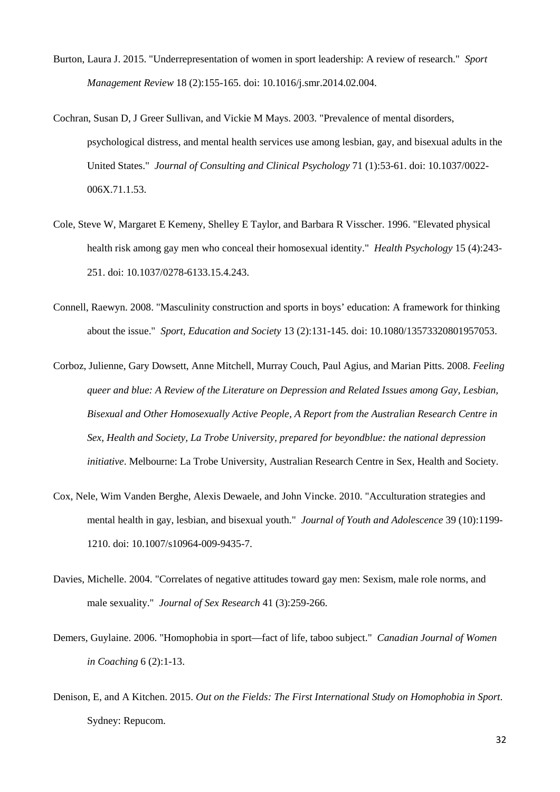- <span id="page-32-6"></span>Burton, Laura J. 2015. "Underrepresentation of women in sport leadership: A review of research." *Sport Management Review* 18 (2):155-165. doi: 10.1016/j.smr.2014.02.004.
- <span id="page-32-1"></span>Cochran, Susan D, J Greer Sullivan, and Vickie M Mays. 2003. "Prevalence of mental disorders, psychological distress, and mental health services use among lesbian, gay, and bisexual adults in the United States." *Journal of Consulting and Clinical Psychology* 71 (1):53-61. doi: 10.1037/0022- 006X.71.1.53.
- <span id="page-32-4"></span>Cole, Steve W, Margaret E Kemeny, Shelley E Taylor, and Barbara R Visscher. 1996. "Elevated physical health risk among gay men who conceal their homosexual identity." *Health Psychology* 15 (4):243- 251. doi: 10.1037/0278-6133.15.4.243.
- <span id="page-32-5"></span>Connell, Raewyn. 2008. "Masculinity construction and sports in boys' education: A framework for thinking about the issue." *Sport, Education and Society* 13 (2):131-145. doi: 10.1080/13573320801957053.
- <span id="page-32-2"></span>Corboz, Julienne, Gary Dowsett, Anne Mitchell, Murray Couch, Paul Agius, and Marian Pitts. 2008. *Feeling queer and blue: A Review of the Literature on Depression and Related Issues among Gay, Lesbian, Bisexual and Other Homosexually Active People, A Report from the Australian Research Centre in Sex, Health and Society, La Trobe University, prepared for beyondblue: the national depression initiative*. Melbourne: La Trobe University, Australian Research Centre in Sex, Health and Society.
- <span id="page-32-3"></span>Cox, Nele, Wim Vanden Berghe, Alexis Dewaele, and John Vincke. 2010. "Acculturation strategies and mental health in gay, lesbian, and bisexual youth." *Journal of Youth and Adolescence* 39 (10):1199- 1210. doi: 10.1007/s10964-009-9435-7.
- <span id="page-32-0"></span>Davies, Michelle. 2004. "Correlates of negative attitudes toward gay men: Sexism, male role norms, and male sexuality." *Journal of Sex Research* 41 (3):259-266.
- <span id="page-32-7"></span>Demers, Guylaine. 2006. "Homophobia in sport—fact of life, taboo subject." *Canadian Journal of Women in Coaching* 6 (2):1-13.
- <span id="page-32-8"></span>Denison, E, and A Kitchen. 2015. *Out on the Fields: The First International Study on Homophobia in Sport*. Sydney: Repucom.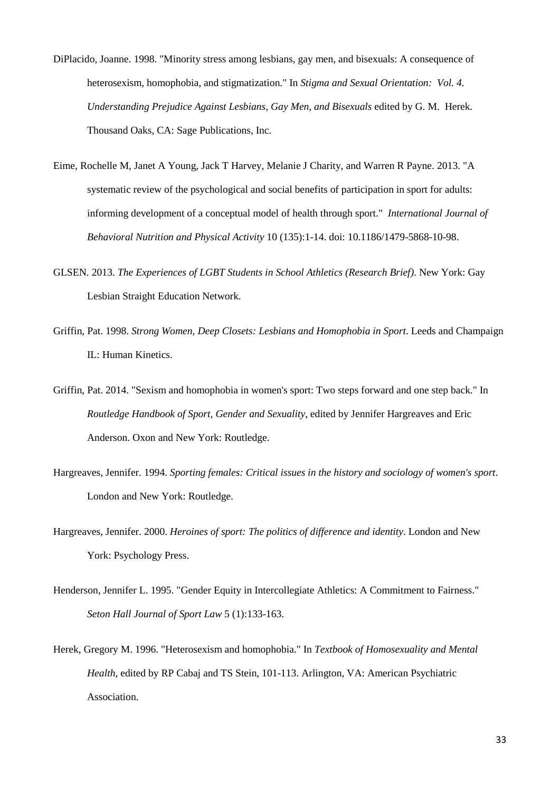- <span id="page-33-1"></span>DiPlacido, Joanne. 1998. "Minority stress among lesbians, gay men, and bisexuals: A consequence of heterosexism, homophobia, and stigmatization." In *Stigma and Sexual Orientation: Vol. 4. Understanding Prejudice Against Lesbians, Gay Men, and Bisexuals* edited by G. M. Herek. Thousand Oaks, CA: Sage Publications, Inc.
- <span id="page-33-8"></span>Eime, Rochelle M, Janet A Young, Jack T Harvey, Melanie J Charity, and Warren R Payne. 2013. "A systematic review of the psychological and social benefits of participation in sport for adults: informing development of a conceptual model of health through sport." *International Journal of Behavioral Nutrition and Physical Activity* 10 (135):1-14. doi: 10.1186/1479-5868-10-98.
- <span id="page-33-5"></span>GLSEN. 2013. *The Experiences of LGBT Students in School Athletics (Research Brief)*. New York: Gay Lesbian Straight Education Network.
- <span id="page-33-4"></span>Griffin, Pat. 1998. *Strong Women, Deep Closets: Lesbians and Homophobia in Sport*. Leeds and Champaign IL: Human Kinetics.
- <span id="page-33-2"></span>Griffin, Pat. 2014. "Sexism and homophobia in women's sport: Two steps forward and one step back." In *Routledge Handbook of Sport, Gender and Sexuality*, edited by Jennifer Hargreaves and Eric Anderson. Oxon and New York: Routledge.
- <span id="page-33-7"></span>Hargreaves, Jennifer. 1994. *Sporting females: Critical issues in the history and sociology of women's sport*. London and New York: Routledge.
- <span id="page-33-3"></span>Hargreaves, Jennifer. 2000. *Heroines of sport: The politics of difference and identity*. London and New York: Psychology Press.
- <span id="page-33-6"></span>Henderson, Jennifer L. 1995. "Gender Equity in Intercollegiate Athletics: A Commitment to Fairness." *Seton Hall Journal of Sport Law* 5 (1):133-163.
- <span id="page-33-0"></span>Herek, Gregory M. 1996. "Heterosexism and homophobia." In *Textbook of Homosexuality and Mental Health*, edited by RP Cabaj and TS Stein, 101-113. Arlington, VA: American Psychiatric Association.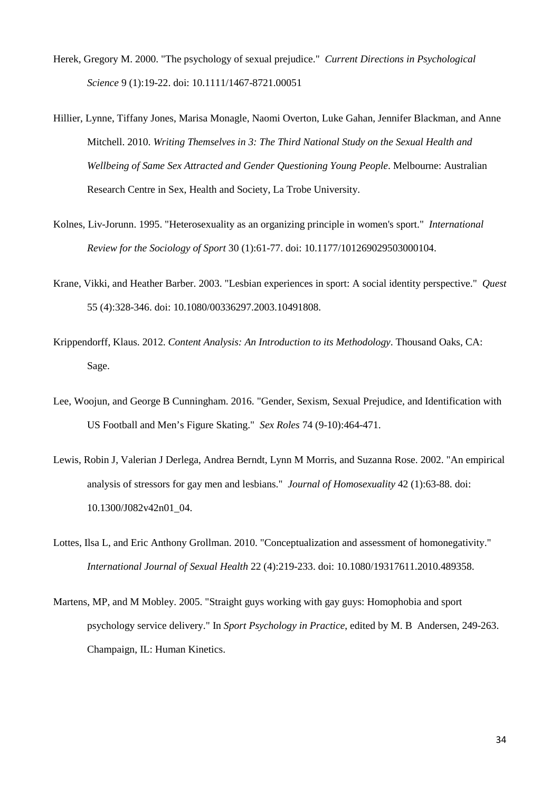- <span id="page-34-1"></span>Herek, Gregory M. 2000. "The psychology of sexual prejudice." *Current Directions in Psychological Science* 9 (1):19-22. doi: 10.1111/1467-8721.00051
- <span id="page-34-6"></span>Hillier, Lynne, Tiffany Jones, Marisa Monagle, Naomi Overton, Luke Gahan, Jennifer Blackman, and Anne Mitchell. 2010. *Writing Themselves in 3: The Third National Study on the Sexual Health and Wellbeing of Same Sex Attracted and Gender Questioning Young People*. Melbourne: Australian Research Centre in Sex, Health and Society, La Trobe University.
- <span id="page-34-3"></span>Kolnes, Liv-Jorunn. 1995. "Heterosexuality as an organizing principle in women's sport." *International Review for the Sociology of Sport* 30 (1):61-77. doi: 10.1177/101269029503000104.
- <span id="page-34-5"></span>Krane, Vikki, and Heather Barber. 2003. "Lesbian experiences in sport: A social identity perspective." *Quest* 55 (4):328-346. doi: 10.1080/00336297.2003.10491808.
- <span id="page-34-7"></span>Krippendorff, Klaus. 2012. *Content Analysis: An Introduction to its Methodology*. Thousand Oaks, CA: Sage.
- <span id="page-34-0"></span>Lee, Woojun, and George B Cunningham. 2016. "Gender, Sexism, Sexual Prejudice, and Identification with US Football and Men's Figure Skating." *Sex Roles* 74 (9-10):464-471.
- <span id="page-34-8"></span>Lewis, Robin J, Valerian J Derlega, Andrea Berndt, Lynn M Morris, and Suzanna Rose. 2002. "An empirical analysis of stressors for gay men and lesbians." *Journal of Homosexuality* 42 (1):63-88. doi: 10.1300/J082v42n01\_04.
- <span id="page-34-2"></span>Lottes, Ilsa L, and Eric Anthony Grollman. 2010. "Conceptualization and assessment of homonegativity." *International Journal of Sexual Health* 22 (4):219-233. doi: 10.1080/19317611.2010.489358.
- <span id="page-34-4"></span>Martens, MP, and M Mobley. 2005. "Straight guys working with gay guys: Homophobia and sport psychology service delivery." In *Sport Psychology in Practice*, edited by M. B Andersen, 249-263. Champaign, IL: Human Kinetics.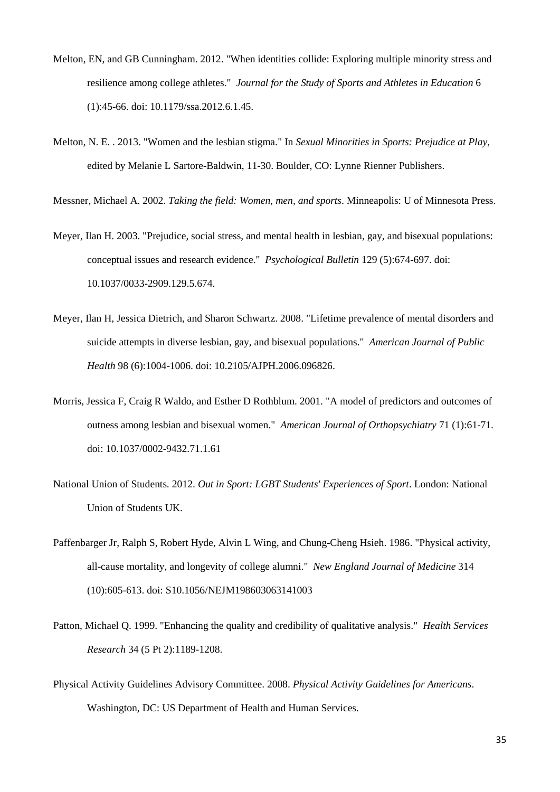- <span id="page-35-3"></span>Melton, EN, and GB Cunningham. 2012. "When identities collide: Exploring multiple minority stress and resilience among college athletes." *Journal for the Study of Sports and Athletes in Education* 6 (1):45-66. doi: 10.1179/ssa.2012.6.1.45.
- <span id="page-35-6"></span>Melton, N. E. . 2013. "Women and the lesbian stigma." In *Sexual Minorities in Sports: Prejudice at Play*, edited by Melanie L Sartore-Baldwin, 11-30. Boulder, CO: Lynne Rienner Publishers.

<span id="page-35-2"></span>Messner, Michael A. 2002. *Taking the field: Women, men, and sports*. Minneapolis: U of Minnesota Press.

- <span id="page-35-0"></span>Meyer, Ilan H. 2003. "Prejudice, social stress, and mental health in lesbian, gay, and bisexual populations: conceptual issues and research evidence." *Psychological Bulletin* 129 (5):674-697. doi: 10.1037/0033-2909.129.5.674.
- <span id="page-35-1"></span>Meyer, Ilan H, Jessica Dietrich, and Sharon Schwartz. 2008. "Lifetime prevalence of mental disorders and suicide attempts in diverse lesbian, gay, and bisexual populations." *American Journal of Public Health* 98 (6):1004-1006. doi: 10.2105/AJPH.2006.096826.
- <span id="page-35-8"></span>Morris, Jessica F, Craig R Waldo, and Esther D Rothblum. 2001. "A model of predictors and outcomes of outness among lesbian and bisexual women." *American Journal of Orthopsychiatry* 71 (1):61-71. doi: 10.1037/0002-9432.71.1.61
- <span id="page-35-4"></span>National Union of Students. 2012. *Out in Sport: LGBT Students' Experiences of Sport*. London: National Union of Students UK.
- <span id="page-35-9"></span>Paffenbarger Jr, Ralph S, Robert Hyde, Alvin L Wing, and Chung-Cheng Hsieh. 1986. "Physical activity, all-cause mortality, and longevity of college alumni." *New England Journal of Medicine* 314 (10):605-613. doi: S10.1056/NEJM198603063141003
- <span id="page-35-5"></span>Patton, Michael Q. 1999. "Enhancing the quality and credibility of qualitative analysis." *Health Services Research* 34 (5 Pt 2):1189-1208.
- <span id="page-35-7"></span>Physical Activity Guidelines Advisory Committee. 2008. *Physical Activity Guidelines for Americans*. Washington, DC: US Department of Health and Human Services.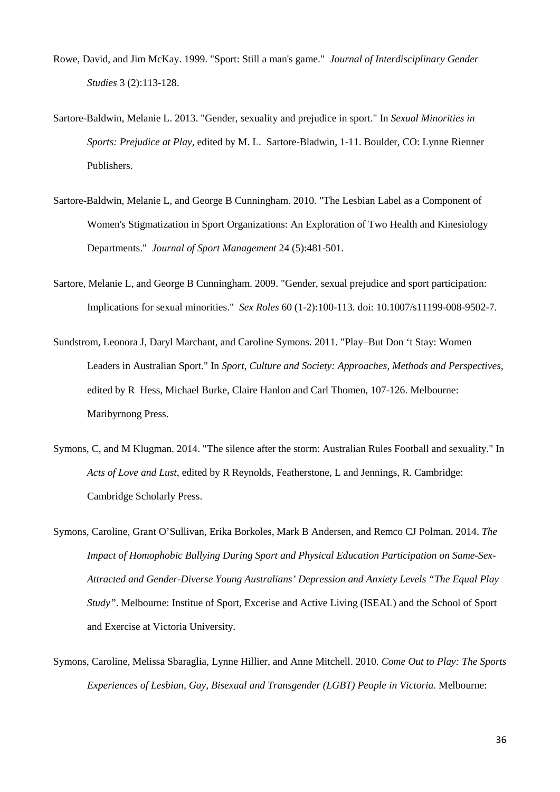- <span id="page-36-1"></span>Rowe, David, and Jim McKay. 1999. "Sport: Still a man's game." *Journal of Interdisciplinary Gender Studies* 3 (2):113-128.
- <span id="page-36-0"></span>Sartore-Baldwin, Melanie L. 2013. "Gender, sexuality and prejudice in sport." In *Sexual Minorities in Sports: Prejudice at Play*, edited by M. L. Sartore-Bladwin, 1-11. Boulder, CO: Lynne Rienner Publishers.
- <span id="page-36-5"></span>Sartore-Baldwin, Melanie L, and George B Cunningham. 2010. "The Lesbian Label as a Component of Women's Stigmatization in Sport Organizations: An Exploration of Two Health and Kinesiology Departments." *Journal of Sport Management* 24 (5):481-501.
- <span id="page-36-4"></span>Sartore, Melanie L, and George B Cunningham. 2009. "Gender, sexual prejudice and sport participation: Implications for sexual minorities." *Sex Roles* 60 (1-2):100-113. doi: 10.1007/s11199-008-9502-7.
- <span id="page-36-3"></span>Sundstrom, Leonora J, Daryl Marchant, and Caroline Symons. 2011. "Play–But Don 't Stay: Women Leaders in Australian Sport." In *Sport, Culture and Society: Approaches, Methods and Perspectives*, edited by R Hess, Michael Burke, Claire Hanlon and Carl Thomen, 107-126. Melbourne: Maribyrnong Press.
- <span id="page-36-2"></span>Symons, C, and M Klugman. 2014. "The silence after the storm: Australian Rules Football and sexuality." In *Acts of Love and Lust*, edited by R Reynolds, Featherstone, L and Jennings, R. Cambridge: Cambridge Scholarly Press.
- <span id="page-36-6"></span>Symons, Caroline, Grant O'Sullivan, Erika Borkoles, Mark B Andersen, and Remco CJ Polman. 2014. *The Impact of Homophobic Bullying During Sport and Physical Education Participation on Same-Sex-Attracted and Gender-Diverse Young Australians' Depression and Anxiety Levels "The Equal Play Study"*. Melbourne: Institue of Sport, Excerise and Active Living (ISEAL) and the School of Sport and Exercise at Victoria University.
- <span id="page-36-7"></span>Symons, Caroline, Melissa Sbaraglia, Lynne Hillier, and Anne Mitchell. 2010. *Come Out to Play: The Sports Experiences of Lesbian, Gay, Bisexual and Transgender (LGBT) People in Victoria*. Melbourne: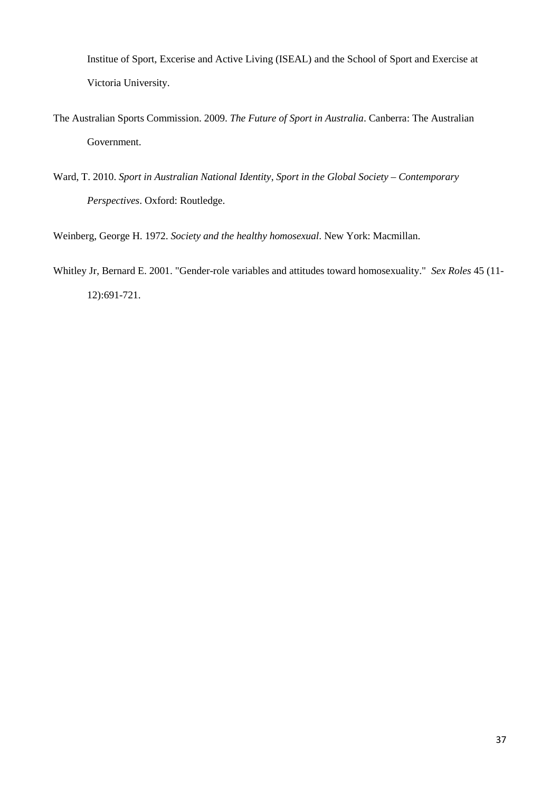Institue of Sport, Excerise and Active Living (ISEAL) and the School of Sport and Exercise at Victoria University.

- <span id="page-37-2"></span>The Australian Sports Commission. 2009. *The Future of Sport in Australia*. Canberra: The Australian Government.
- <span id="page-37-3"></span>Ward, T. 2010. *Sport in Australian National Identity*, *Sport in the Global Society – Contemporary Perspectives*. Oxford: Routledge.

<span id="page-37-1"></span>Weinberg, George H. 1972. *Society and the healthy homosexual*. New York: Macmillan.

<span id="page-37-0"></span>Whitley Jr, Bernard E. 2001. "Gender-role variables and attitudes toward homosexuality." *Sex Roles* 45 (11- 12):691-721.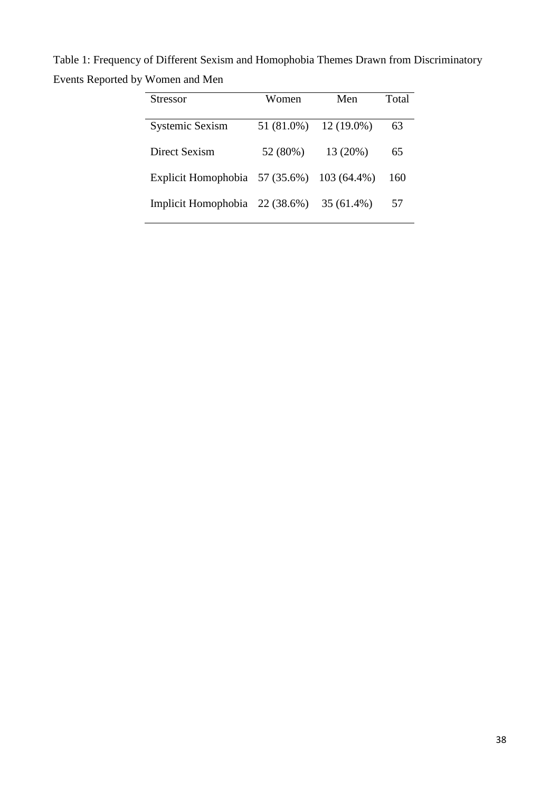Table 1: Frequency of Different Sexism and Homophobia Themes Drawn from Discriminatory Events Reported by Women and Men

| Stressor                                   | Women      | Men          | Total |
|--------------------------------------------|------------|--------------|-------|
|                                            |            |              |       |
| <b>Systemic Sexism</b>                     | 51 (81.0%) | $12(19.0\%)$ | 63    |
| Direct Sexism                              | 52 (80%)   | 13 (20%)     | 65    |
| Explicit Homophobia 57 (35.6%) 103 (64.4%) |            |              | 160   |
| Implicit Homophobia 22 (38.6%)             |            | 35 (61.4%)   | 57    |
|                                            |            |              |       |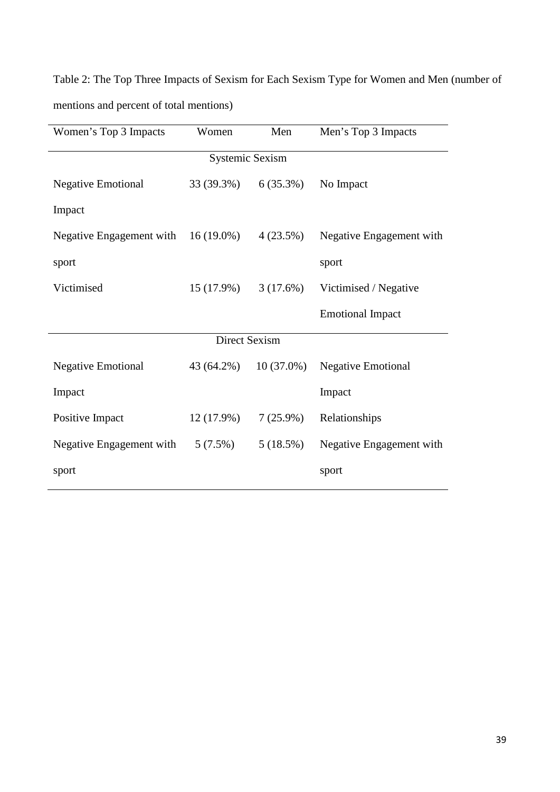Table 2: The Top Three Impacts of Sexism for Each Sexism Type for Women and Men (number of mentions and percent of total mentions)

| Women's Top 3 Impacts     | Women        | Men          | Men's Top 3 Impacts       |  |  |  |  |
|---------------------------|--------------|--------------|---------------------------|--|--|--|--|
| <b>Systemic Sexism</b>    |              |              |                           |  |  |  |  |
| <b>Negative Emotional</b> | 33 (39.3%)   | $6(35.3\%)$  | No Impact                 |  |  |  |  |
| Impact                    |              |              |                           |  |  |  |  |
| Negative Engagement with  | $16(19.0\%)$ | 4(23.5%)     | Negative Engagement with  |  |  |  |  |
| sport                     |              |              | sport                     |  |  |  |  |
| Victimised                | $15(17.9\%)$ | 3(17.6%)     | Victimised / Negative     |  |  |  |  |
|                           |              |              | <b>Emotional Impact</b>   |  |  |  |  |
| Direct Sexism             |              |              |                           |  |  |  |  |
| <b>Negative Emotional</b> | 43 (64.2%)   | $10(37.0\%)$ | <b>Negative Emotional</b> |  |  |  |  |
| Impact                    |              |              | Impact                    |  |  |  |  |
| Positive Impact           | $12(17.9\%)$ | $7(25.9\%)$  | Relationships             |  |  |  |  |
| Negative Engagement with  | $5(7.5\%)$   | 5(18.5%)     | Negative Engagement with  |  |  |  |  |
| sport                     |              |              | sport                     |  |  |  |  |